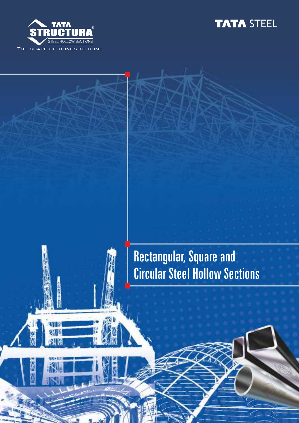



# Rectangular, Square and Circular Steel Hollow Sections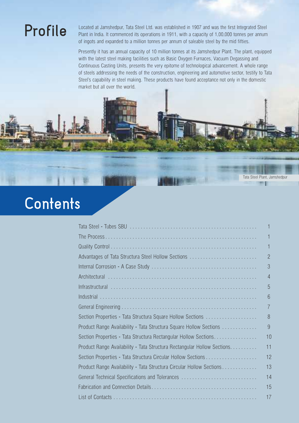**Profile** Located at Jamshedpur, Tata Steel Ltd. was established in 1907 and was the first Integrated Steel<br>Plant in India. It commenced its operations in 1911, with a capacity of 1,00,000 tonnes per annum Plant in India. It commenced its operations in 1911, with a capacity of 1,00,000 tonnes per annum of ingots and expanded to a million tonnes per annum of saleable steel by the mid fifties.

> Presently it has an annual capacity of 10 million tonnes at its Jamshedpur Plant. The plant, equipped with the latest steel making facilities such as Basic Oxygen Furnaces, Vacuum Degassing and Continuous Casting Units, presents the very epitome of technological advancement. A whole range of steels addressing the needs of the construction, engineering and automotive sector, testify to Tata Steel's capability in steel making. These products have found acceptance not only in the domestic market but all over the world.

> > Tata Steel Plant, Jamshedpur照相



|                                                                         | 1              |
|-------------------------------------------------------------------------|----------------|
|                                                                         | 1              |
| Advantages of Tata Structura Steel Hollow Sections                      | $\overline{2}$ |
|                                                                         | 3              |
|                                                                         | 4              |
|                                                                         | 5              |
|                                                                         | 6              |
|                                                                         | 7              |
|                                                                         | 8              |
| Product Range Availability - Tata Structura Square Hollow Sections      | 9              |
| Section Properties - Tata Structura Rectangular Hollow Sections         | 10             |
| Product Range Availability - Tata Structura Rectangular Hollow Sections | 11             |
|                                                                         | 12             |
| Product Range Availability - Tata Structura Circular Hollow Sections    | 13             |
| General Technical Specifications and Tolerances                         | 14             |
|                                                                         | 15             |
|                                                                         | 17             |
|                                                                         |                |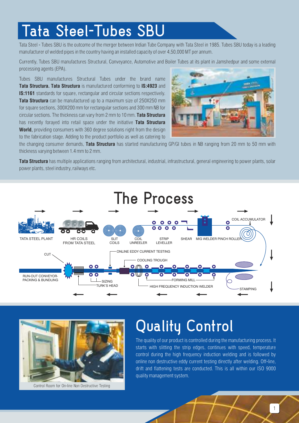# **Tata Steel-Tubes SBU**

Tata Steel - Tubes SBU is the outcome of the merger between Indian Tube Company with Tata Steel in 1985. Tubes SBU today is a leading manufacturer of welded pipes in the country having an installed capacity of over 4,50,000 MT per annum.

Currently, Tubes SBU manufactures Structural, Conveyance, Automotive and Boiler Tubes at its plant in Jamshedpur and some external processing agents (EPA).

Tubes SBU manufactures Structural Tubes under the brand name **Tata Structura. Tata Structura** is manufactured conforming to **IS:4923** and **IS:1161** standards for square, rectangular and circular sections respectively. **Tata Structura** can be manufactured up to a maximum size of 250X250 mm for square sections, 300X200 mm for rectangular sections and 300 mm NB for circular sections. The thickness can vary from 2 mm to 10 mm. **Tata Structura** has recently forayed into retail space under the initiative **Tata Structura World**, providing consumers with 360 degree solutions right from the design to the fabrication stage. Adding to the product portfolio as well as catering to



the changing consumer demands, **Tata Structura** has started manufacturing GP/GI tubes in NB ranging from 20 mm to 50 mm with thickness varying between 1.4 mm to 2 mm.

**Tata Structura** has multiple applications ranging from architectural, industrial, infrastructural, general engineering to power plants, solar power plants, steel industry, railways etc.





Control Room for On-line Non Destructive Testing

# **Quality Control**

The quality of our product is controlled during the manufacturing process. It starts with slitting the strip edges, continues with speed, temperature control during the high frequency induction welding and is followed by online non destructive eddy current testing directly after welding. Off-line, drift and flattening tests are conducted. This is all within our ISO 9000 quality management system.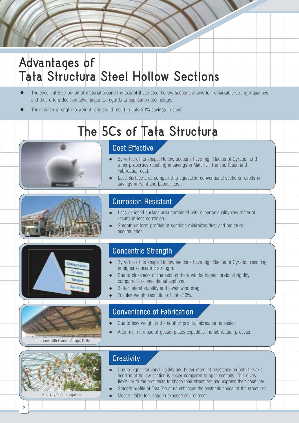## **Advantages of Tata Structura Steel Hollow Sections**

- The excellent distribution of material around the axis of these steel hollow sections allows for remarkable strength qualities and thus offers decisive advantages as regards to application technology.
- Their higher strength to weight ratio could result in upto 30% savings in steel.

# **The 5Cs of Tata Structura**



### Cost Effective

- By virtue of its shape, Hollow sections have high Radius of Gyration and other properties resulting in savings in Material, Transportation and Fabrication cost.
- Less Surface area compared to equivalent conventional sections results in savings in Paint and Labour cost.



### Corrosion Resistant

- $\bullet$ results in less corrosion. Less exposed surface area combined with superior quality raw material
- Smooth uniform profiles of sections minimizes dust and moisture accumulation.



### Concentric Strength

- By virtue of its shape, Hollow sections have high Radius of Gyration resulting in higher concentric strength.
- Due to closeness of the section there will be higher torsional rigidity compared to conventional sections.
- Better lateral stability and lower wind drag.
- Enables weight reduction of upto 30%.



### Convenience of Fabrication

- Due to less weight and smoother profile, fabrication is easier.
- Also minimum use of gusset plates expedites the fabrication process.



#### Butterfly Park, Bengaluru

#### **Creativity**

- $\bullet$ bending of hollow section is easier compared to open sections. This gives flexibility to the architects to shape their structures and express their creativity. Due to higher torsional rigidity and better moment resistance on both the axis,
- Smooth profile of Tata Structura enhances the aesthetic appeal of the structures.
	- Most suitable for usage in exposed environment.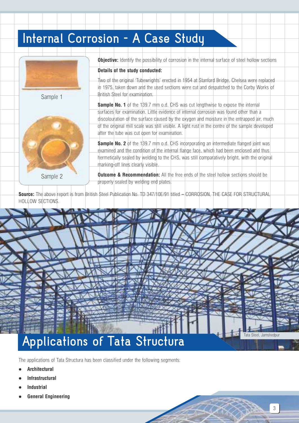## **Internal Corrosion - A Case Study**



Sample 2

**Objective:** Identify the possibility of corrosion in the internal surface of steel hollow sections

#### **Details of the study conducted:**

Two of the original 'Tubewrights' erected in 1954 at Stanford Bridge, Chelsea were replaced in 1975, taken down and the used sections were cut and despatched to the Corby Works of British Steel for examination.

**Sample No. 1** of the 139.7 mm o.d. CHS was cut lengthwise to expose the internal surfaces for examination. Little evidence of internal corrosion was found other than a discolouration of the surface caused by the oxygen and moisture in the entrapped air, much of the original mill scale was still visible. A light rust in the centre of the sample developed after the tube was cut open for examination.

**Sample No. 2** of the 139.7 mm o.d. CHS incorporating an intermediate flanged joint was examined and the condition of the internal flange face, which had been enclosed and thus hermetically sealed by welding to the CHS, was still comparatively bright, with the original marking-off lines clearly visible.

**Outcome & Recommendation:** All the free ends of the steel hollow sections should be properly sealed by welding end plates.

**Source:** The above report is from British Steel Publication No. TD 347/10E/91 titled – CORROSION, THE CASE FOR STRUCTURAL HOLLOW SECTIONS.



The applications of Tata Structura has been classified under the following segments:

- $\bullet$ **Architectural**
- l **Infrastructural**
- l **Industrial**
- l **General Engineering**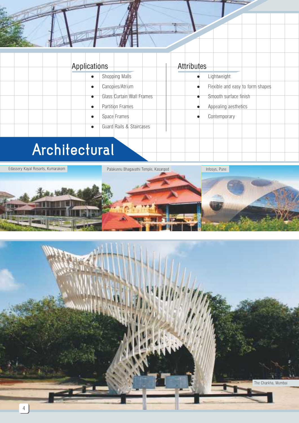#### **.** Shopping Malls **•** Canopies/Atrium **.** Glass Curtain Wall Frames • Partition Frames **e** Space Frames Applications  $\bullet$ Flexible and easy to form shapes Smooth surface finish Appealing aesthetics **Contemporary** Lightweight Attributes

**e** Guard Rails & Staircases

# **Architectural**

Edassery Kayal Resorts, Kumarakom **Palakunnu Bhagavathi Temple, Kasargod Infosys, Pune** 



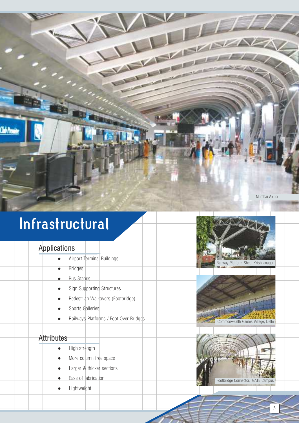# **Infrastructural**

### Applications

**Ciste** 

- l Airport Terminal Buildings
- $\bullet$  Bridges
- **Bus Stands**
- Sign Supporting Structures
- Pedestrian Walkovers (Footbridge)
- Sports Galleries
- Railways Platforms / Foot Over Bridges

### **Attributes**

- $\bullet$  High strength
- More column free space
- Larger & thicker sections
- Ease of fabrication
- $\bullet$  Lightweight



The Manual





5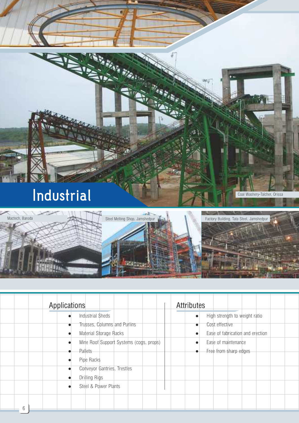

| <b>Industrial Sheds</b><br>Trusses, Columns and Purlins<br>Cost effective<br>Material Storage Racks<br>Mine Roof Support Systems (cogs, props)<br>Pallets<br>Pipe Racks<br>Conveyor Gantries, Trestles<br>Drilling Rigs |                                  | <b>Attributes</b> | Applications |  |
|-------------------------------------------------------------------------------------------------------------------------------------------------------------------------------------------------------------------------|----------------------------------|-------------------|--------------|--|
|                                                                                                                                                                                                                         | High strength to weight ratio    |                   |              |  |
|                                                                                                                                                                                                                         |                                  |                   |              |  |
|                                                                                                                                                                                                                         | Ease of fabrication and erection |                   |              |  |
|                                                                                                                                                                                                                         | Ease of maintenance              |                   |              |  |
|                                                                                                                                                                                                                         | Free from sharp edges            |                   |              |  |
|                                                                                                                                                                                                                         |                                  |                   |              |  |
|                                                                                                                                                                                                                         |                                  |                   |              |  |
|                                                                                                                                                                                                                         |                                  |                   |              |  |
| Steel & Power Plants                                                                                                                                                                                                    |                                  |                   |              |  |

**MARTIN** 

100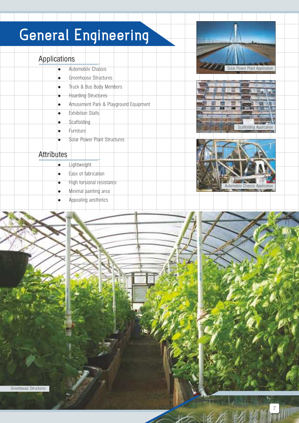# **General Engineering**

### Applications

- Automobile Chassis
- Greenhouse Structures Truck & Bus Body Members
- l Hoarding Structures
- l Amusement Park & Playground Equipment
- **Exhibition Stalls**
- Scaffolding
- **Furniture**
- Solar Power Plant Structures

### **Attributes**

- **Lightweight**
- Ease of fabrication
- High torsional resistance
- Minimal painting area
- Appealing aesthetics







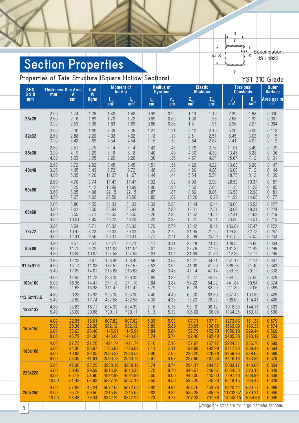$\overline{\mathsf{Y}}$  $\frac{t}{-x}$ 

 $\mathbb{Q}$   $\times$ 

 $\overline{B}$ 

Specification:<br>IS: 4923

# **Section Properties**

**Properties of Tata Structura (Square Hollow Sections)** The Manus of Tata Structura (Square Hollow Sections)

| <b>SHS</b>         | Thickness Sec Area |                               | <b>Unit</b>          | <b>Moment of</b>                              |                                            |                                           | <b>Radius of</b>                                                         |          | <b>Elastic</b>                                                                                              |                                 | 101 UT<br><b>Torsional</b>                             | araac<br><b>Outer</b>                          |
|--------------------|--------------------|-------------------------------|----------------------|-----------------------------------------------|--------------------------------------------|-------------------------------------------|--------------------------------------------------------------------------|----------|-------------------------------------------------------------------------------------------------------------|---------------------------------|--------------------------------------------------------|------------------------------------------------|
| <b>B</b> x B<br>mm | mm                 | $A$ <sub>cm<sup>2</sup></sub> | $\mathsf{W}$<br>Kg/m | <b>Inertia</b><br>$I_{xx}$<br>cm <sup>4</sup> | $\frac{\text{I}_{\text{YY}}}{\text{cm}^4}$ | $\mathbf{r}_{\mathbf{x}\mathbf{x}}$<br>cm | <b>Gyration</b><br>$\mathbf{r}_{\scriptscriptstyle {\mathrm{YY}}}$<br>cm | $Z_{xx}$ | <b>Modulus</b><br>$\frac{\mathsf{Z}_{\scriptscriptstyle {\sf Y}\scriptscriptstyle {\sf Y}}}{\mathsf{cm}^3}$ | $\mathbf{J}$<br>cm <sup>4</sup> | <b>Constants</b><br>$\, {\bf B} \,$<br>cm <sup>3</sup> | <b>Surface</b><br>Area per m<br>$\mathbf{m}^2$ |
| 25x25              | 2.00               | 1.74                          | 1.36                 | 1.48                                          | 1.48                                       | 0.92                                      | 0.92                                                                     | 1.19     | 1.19                                                                                                        | 2.29                            | 1.68                                                   | 0.090                                          |
|                    | 2.60               | 2.16                          | 1.69                 | 1.72                                          | 1.72                                       | 0.89                                      | 0.89                                                                     | 1.38     | 1.38                                                                                                        | 2.68                            | 1.92                                                   | 0.087                                          |
|                    | 3.20               | 2.53                          | 1.98                 | 1.89                                          | 1.89                                       | 0.86                                      | 0.86                                                                     | 1.51     | 1.51                                                                                                        | 2.96                            | 2.07                                                   | 0.084                                          |
| 32x32              | 2.00               | 2.30                          | 1.80                 | 3.36                                          | 3.36                                       | 1.21                                      | 1.21                                                                     | 2.10     | 2.10                                                                                                        | 5.30                            | 3.05                                                   | 0.118                                          |
|                    | 2.60               | 2.88                          | 2.26                 | 4.02                                          | 4.02                                       | 1.18                                      | 1.18                                                                     | 2.51     | 2.51                                                                                                        | 6.45                            | 3.63                                                   | 0.115                                          |
|                    | 3.20               | 3.42                          | 2.69                 | 4.54                                          | 4.54                                       | 1.15                                      | 1.15                                                                     | 2.84     | 2.84                                                                                                        | 7.41                            | 4.07                                                   | 0.112                                          |
| 38x38              | 2.60               | 3.51                          | 2.75                 | 7.14                                          | 7.14                                       | 1.43                                      | 1.43                                                                     | 3.76     | 3.76                                                                                                        | 11.51                           | 5.49                                                   | 0.139                                          |
|                    | 3.20               | 4.19                          | 3.29                 | 8.18                                          | 8.18                                       | 1.40                                      | 1.40                                                                     | 4.30     | 4.30                                                                                                        | 13.45                           | 6.28                                                   | 0.136                                          |
|                    | 4.00               | 5.03                          | 3.95                 | 9.26                                          | 9.26                                       | 1.36                                      | 1.36                                                                     | 4.87     | 4.87                                                                                                        | 15.67                           | 7.12                                                   | 0.131                                          |
| 40x40              | 2.60               | 3.72                          | 2.92                 | 8.45                                          | 8.45                                       | 1.51                                      | 1.51                                                                     | 4.22     | 4.22                                                                                                        | 13.63                           | 6.20                                                   | 0.147                                          |
|                    | 3.20               | 4.45                          | 3.49                 | 9.72                                          | 9.72                                       | 1.48                                      | 1.48                                                                     | 4.86     | 4.86                                                                                                        | 16.00                           | 7.12                                                   | 0.144                                          |
|                    | 4.00               | 5.35                          | 4.20                 | 11.07                                         | 11.07                                      | 1.44                                      | 1.44                                                                     | 5.54     | 5.54                                                                                                        | 18.75                           | 8.12                                                   | 0.139                                          |
| 50x50              | 2.60               | 4.76                          | 3.74                 | 17.47                                         | 17.47                                      | 1.92                                      | 1.92                                                                     | 6.99     | 6.99                                                                                                        | 28.53                           | 10.37                                                  | 0.187                                          |
|                    | 2.90               | 5.25                          | 4.12                 | 18.99                                         | 18.99                                      | 1.90                                      | 1.90                                                                     | 7.60     | 7.60                                                                                                        | 31.15                           | 11.23                                                  | 0.185                                          |
|                    | 3.60               | 6.35                          | 4.98                 | 22.15                                         | 22.15                                      | 1.87                                      | 1.87                                                                     | 8.86     | 8.86                                                                                                        | 36.58                           | 12.98                                                  | 0.181                                          |
|                    | 4.50               | 7.67                          | 6.02                 | 25.50                                         | 25.50                                      | 1.82                                      | 1.82                                                                     | 10.20    | 10.20                                                                                                       | 41.99                           | 14.68                                                  | 0.177                                          |
| 60x60              | 2.60               | 5.80                          | 4.55                 | 31.33                                         | 31.33                                      | 2.33                                      | 2.33                                                                     | 10.44    | 10.44                                                                                                       | 50.08                           | 15.52                                                  | 0.227                                          |
|                    | 3.20               | 7.01                          | 5.50                 | 36.94                                         | 36.94                                      | 2.30                                      | 2.30                                                                     | 12.31    | 12.31                                                                                                       | 60.02                           | 18.31                                                  | 0.224                                          |
|                    | 4.00               | 8.55                          | 6.71                 | 43.55                                         | 43.55                                      | 2.26                                      | 2.26                                                                     | 14.52    | 14.52                                                                                                       | 72.41                           | 21.62                                                  | 0.219                                          |
|                    | 4.80               | 10.01                         | 7.85                 | 49.22                                         | 49.22                                      | 2.22                                      | 2.22                                                                     | 16.41    | 16.41                                                                                                       | 83.86                           | 24.51                                                  | 0.215                                          |
| 72x72              | 3.20               | 8.54                          | 6.71                 | 66.32                                         | 66.32                                      | 2.79                                      | 2.79                                                                     | 18.42    | 18.42                                                                                                       | 106.81                          | 27.47                                                  | 0.272                                          |
|                    | 4.00               | 10.47                         | 8.22                 | 79.03                                         | 79.03                                      | 2.75                                      | 2.75                                                                     | 21.95    | 21.95                                                                                                       | 129.85                          | 32.78                                                  | 0.267                                          |
|                    | 4.80               | 12.31                         | 9.66                 | 90.31                                         | 90.31                                      | 2.71                                      | 2.71                                                                     | 25.09    | 25.09                                                                                                       | 151.55                          | 37.55                                                  | 0.263                                          |
| 80x80              | 3.20               | 9.57                          | 7.51                 | 92.71                                         | 92.71                                      | 3.11                                      | 3.11                                                                     | 23.18    | 23.18                                                                                                       | 148.55                          | 34.60                                                  | 0.304                                          |
|                    | 4.00               | 11.75                         | 9.22                 | 111.04                                        | 111.04                                     | 3.07                                      | 3.07                                                                     | 27.76    | 27.76                                                                                                       | 181.22                          | 41.49                                                  | 0.299                                          |
|                    | 4.80               | 13.85                         | 10.87                | 127.58                                        | 127.58                                     | 3.04                                      | 3.04                                                                     | 31.89    | 31.89                                                                                                       | 212.26                          | 47.77                                                  | 0.295                                          |
| 91.5x91.5          | 3.60               | 12.32                         | 9.67                 | 156.49                                        | 156.49                                     | 3.56                                      | 3.56                                                                     | 34.21    | 34.21                                                                                                       | 251.17                          | 51.14                                                  | 0.347                                          |
|                    | 4.50               | 15.14                         | 11.88                | 187.57                                        | 187.57                                     | 3.52                                      | 3.52                                                                     | 41.00    | 41.00                                                                                                       | 306.78                          | 61.40                                                  | 0.343                                          |
|                    | 5.40               | 17.85                         | 14.01                | 215.68                                        | 215.68                                     | 3.48                                      | 3.48                                                                     | 47.14    | 47.14                                                                                                       | 359.76                          | 70.77                                                  | 0.338                                          |
| 100x100            | 4.00               | 14.95                         | 11.73                | 226.35                                        | 226.35                                     | 3.89                                      | 3.89                                                                     | 45.27    | 45.27                                                                                                       | 364.75                          | 67.50                                                  | 0.379                                          |
|                    | 5.00               | 18.36                         | 14.41                | 271.10                                        | 271.10                                     | 3.84                                      | 3.84                                                                     | 54.22    | 54.22                                                                                                       | 441.84                          | 80.54                                                  | 0.374                                          |
|                    | 6.00               | 21.63                         | 16.98                | 311.47                                        | 311.47                                     | 3.79                                      | 3.79                                                                     | 62.29    | 62.29                                                                                                       | 511.80                          | 92.06                                                  | 0.369                                          |
| 113.5x113.5        | 4.80               | 20.28                         | 15.92                | 393.30                                        | 393.30                                     | 4.40                                      | 4.40                                                                     | 69.30    | 69.30                                                                                                       | 637.45                          | 103.89                                                 | 0.429                                          |
|                    | 5.40               | 22.60                         | 17.74                | 432.58                                        | 432.58                                     | 4.38                                      | 4.38                                                                     | 76.23    | 76.23                                                                                                       | 708.69                          | 114.41                                                 | 0.426                                          |
| 132x132            | 4.80               | 23.83                         | 18.71                | 634.39                                        | 634.39                                     | 5.16                                      | 5.16                                                                     | 96.12    | 96.12                                                                                                       | 1018.30                         | 144.11                                                 | 0.503                                          |
|                    | 5.40               | 26.60                         | 20.88                | 700.11                                        | 700.11                                     | 5.13                                      | 5.13                                                                     | 106.08   | 106.08                                                                                                      | 1134.25                         | 159.18                                                 | 0.500                                          |
| 150x150            | 4.00               | 22.95                         | 18.01                | 807.82                                        | 807.82                                     | 5.93                                      | 5.93                                                                     | 107.71   | 107.71                                                                                                      | 1273.46                         | 161.38                                                 | 0.579                                          |
|                    | 5.00               | 28.36                         | 22.26                | 982.12                                        | 982.12                                     | 5.89                                      | 5.89                                                                     | 130.95   | 130.95                                                                                                      | 1569.09                         | 196.38                                                 | 0.574                                          |
|                    | 6.00               | 33.63                         | 26.40                | 1145.91                                       | 1145.91                                    | 5.84                                      | 5.84                                                                     | 152.79   | 152.79                                                                                                      | 1856.18                         | 229.44                                                 | 0.569                                          |
|                    | 8.00               | 43.79                         | 34.38                | 1443.00                                       | 1443.00                                    | 5.74                                      | 5.74                                                                     | 192.40   | 192.40                                                                                                      | 2405.78                         | 290.12                                                 | 0.559                                          |
| 180x180            | 4.00               | 27.75                         | 21.78                | 1421.74                                       | 1421.74                                    | 7.16                                      | 7.16                                                                     | 157.97   | 157.97                                                                                                      | 2224.31                         | 236.76                                                 | 0.699                                          |
|                    | 5.00               | 34.36                         | 26.97                | 1736.87                                       | 1736.87                                    | 7.11                                      | 7.11                                                                     | 192.99   | 192.99                                                                                                      | 2747.93                         | 289.40                                                 | 0.694                                          |
|                    | 6.00               | 40.83                         | 32.05                | 2036.52                                       | 2036.52                                    | 7.06                                      | 7.06                                                                     | 226.28   | 226.28                                                                                                      | 3259.23                         | 339.65                                                 | 0.689                                          |
|                    | 8.00               | 53.39                         | 41.91                | 2590.73                                       | 2590.73                                    | 6.97                                      | 6.97                                                                     | 287.86   | 287.86                                                                                                      | 4246.16                         | 433.32                                                 | 0.679                                          |
| 220x220            | 5.00               | 42.36                         | 33.25                | 3238.12                                       | 3238.12                                    | 8.74                                      | 8.74                                                                     | 294.37   | 294.37                                                                                                      | 5083.17                         | 440.67                                                 | 0.854                                          |
|                    | 6.00               | 50.43                         | 39.59                | 3813.36                                       | 3813.36                                    | 8.70                                      | 8.70                                                                     | 346.67   | 346.67                                                                                                      | 6034.53                         | 520.18                                                 | 0.849                                          |
|                    | 8.00               | 66.19                         | 51.96                | 4894.99                                       | 4894.99                                    | 8.60                                      | 8.60                                                                     | 445.00   | 445.00                                                                                                      | 7897.48                         | 668.99                                                 | 0.839                                          |
|                    | 10.00              | 81.43                         | 63.92                | 5887.19                                       | 5887.19                                    | 8.50                                      | 8.50                                                                     | 535.20   | 535.20                                                                                                      | 9549.15                         | 796.48                                                 | 0.829                                          |
| 250x250            | 6.00               | 57.63                         | 45.24                | 5672.00                                       | 5672.00                                    | 9.92                                      | 9.92                                                                     | 453.76   | 453.76                                                                                                      | 8920.44                         | 680.77                                                 | 0.969                                          |
|                    | 8.00               | 75.79                         | 59.50                | 7315.65                                       | 7315.65                                    | 9.82                                      | 9.82                                                                     | 585.25   | 585.25                                                                                                      | 11702.07                        | 879.31                                                 | 0.959                                          |
|                    | 10.00              | 93.43                         | 73.34                | 8842.29                                       | 8842.29                                    | 9.73                                      | 9.73                                                                     | 707.38   | 707.38                                                                                                      | 14248.15                        | 1054.68                                                | 0.949                                          |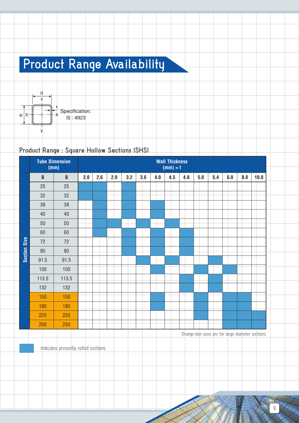# **Product Range Availability**



### **Product Range : Square Hollow Sections (SHS)**

|              |              | <b>Tube Dimension</b><br>(mm) |     |     |     |     |     |     | <b>Wall Thickness</b><br>$(mm) = t$ |     |     |     |     |     |      |
|--------------|--------------|-------------------------------|-----|-----|-----|-----|-----|-----|-------------------------------------|-----|-----|-----|-----|-----|------|
|              | $\, {\bf B}$ | $\, {\bf B}$                  | 2.0 | 2.6 | 2.9 | 3.2 | 3.6 | 4.0 | 4.5                                 | 4.8 | 5.0 | 5.4 | 6.0 | 8.0 | 10.0 |
|              | 25           | 25                            |     |     |     |     |     |     |                                     |     |     |     |     |     |      |
|              | 32           | 32                            |     |     |     |     |     |     |                                     |     |     |     |     |     |      |
|              | 38           | 38                            |     |     |     |     |     |     |                                     |     |     |     |     |     |      |
|              | 40           | 40                            |     |     |     |     |     |     |                                     |     |     |     |     |     |      |
|              | $50\,$       | 50                            |     |     |     |     |     |     |                                     |     |     |     |     |     |      |
|              | 60           | 60                            |     |     |     |     |     |     |                                     |     |     |     |     |     |      |
| Section Size | 72           | 72                            |     |     |     |     |     |     |                                     |     |     |     |     |     |      |
|              | $80\,$       | $80\,$                        |     |     |     |     |     |     |                                     |     |     |     |     |     |      |
|              | 91.5         | 91.5                          |     |     |     |     |     |     |                                     |     |     |     |     |     |      |
|              | 100          | 100                           |     |     |     |     |     |     |                                     |     |     |     |     |     |      |
|              | 113.5        | 113.5                         |     |     |     |     |     |     |                                     |     |     |     |     |     |      |
|              | 132          | 132                           |     |     |     |     |     |     |                                     |     |     |     |     |     |      |
|              | 150          | 150                           |     |     |     |     |     |     |                                     |     |     |     |     |     |      |
|              | 180          | 180                           |     |     |     |     |     |     |                                     |     |     |     |     |     |      |
|              | 220          | 220                           |     |     |     |     |     |     |                                     |     |     |     |     |     |      |
|              | 250          | 250                           |     |     |     |     |     |     |                                     |     |     |     |     |     |      |

Orange box sizes are for large diameter sections

Indicates presently rolled sections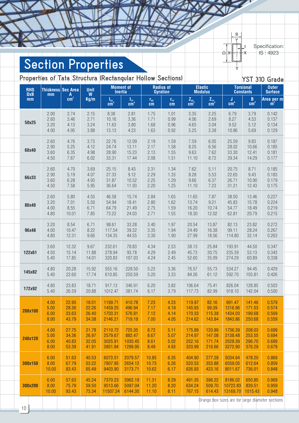Specification:

 $\overline{B}$  $\overline{v}$ 

 $\bigcap$ 

IS: 4923

## **Section Properties**

**MIXERS** 

Ñ

**Properties of Tata Structura (Rectangular Hollow Sections) YST 310 Grade RHS DxB mm Thickness mm Sec Area A**  $cm<sup>2</sup>$ **Unit W Kg/m Moment of Inertia Radius of Gyration Elastic Modulus Torsional Constants Outer Surface l**<sub>xx</sub><sup>4</sup> **IYY 4 cm**  $r_{xx}$ **cm rYY cm ZXX 3 cm ZYY 3 cm J**  $cm<sup>4</sup>$ **B 3 cm Area per m <sup>2</sup> <sup>m</sup>** 2.00 2.74 2.15 8.38 2.81 1.75 1.01 3.35 2.25 6.79 3.79 0.142 2.60 3.46 2.71 10.16 3.36 1.71 0.99 4.06 2.69 8.27 4.53 0.137 **50x25** 3.20 4.13 3.24 11.63 3.80 1.68 0.96 4.65 3.04 9.52 5.12 0.134 4.00 4.95 3.88 13.13 4.23 1.63 0.92 5.25 3.38 10.86 5.69 0.129 2.60 4.76 3.73 22.76 12.09 2.19 1.59 7.59 6.05 25.59 9.83 0.187 2.90 5.25 4.12 24.74 13.11 2.17 1.58 8.25 6.56 28.02 10.66 0.185 **60x40** 3.60 6.35 4.98 28.90 15.23 2.13 1.55 9.63 7.62 33.30 12.41 0.181 4.50 7.67 6.02 33.31 17.44 2.08 1.51 11.10 8.72 39.34 14.29 0.177 2.60 4.70 3.69 25.15 8.43 2.31 1.34 7.62 5.11 20.75 8.71 0.185 2.90 5.19 4.07 27.33 9.12 2.29 1.33 8.28 5.53 22.65 9.43 0.183 **66x33** 3.60 6.28 4.93 31.87 10.52 2.25 1.29 9.66 6.37 26.71 10.90 0.179 4.50 7.58 5.95 36.64 11.93 2.20 1.25 11.10 7.23 31.21 12.43 0.175 2.60 5.80 4.55 46.58 15.74 2.84 1.65 11.65 7.87 38.50 13.46 0.227 3.20 7.01 5.50 54.94 18.41 2.80 1.62 13.74 9.21 45.83 15.78 0.224 **80x40** 4.00 8.55 6.71 64.79 21.49 2.75 1.59 16.20 10.74 54.77 18.49 0.219 4.80 10.01 7.85 73.22 24.03 2.71 1.55 18.30 12.02 62.81 20.79 0.215 3.20 8.54 6.71 98.61 33.28 3.40 1.97 20.54 13.87 82.13 23.82 0.272 **96x48** 4.00 10.47 8.22 117.54 39.32 3.35 1.94 24.49 16.38 99.11 28.24 0.267 4.80 12.31 9.66 134.35 44.55 3.30 1.90 27.99 18.56 114.80 32.14 0.263 3.60 12.32 9.67 232.61 78.83 4.34 2.53 38.13 25.84 193.91 44.50 0.347 **122x61** 4.50 15.14 11.88 278.94 93.78 4.29 2.49 45.73 30.75 235.39 53.13 0.343 5.40 17.85 14.01 320.83 107.03 4.24 2.45 52.60 35.09 274.29 60.89 0.338 4.80 20.28 15.92 555.16 228.50 5.23 3.36 76.57 55.73 534.27 94.45 0.429 **145x82** 5.40 22.60 17.74 610.85 250.59 5.20 3.33 84.26 61.12 592.70 103.81 0.426 4.80 23.83 18.71 917.13 346.91 6.20 3.82 106.64 75.41 826.04 128.85 0.503 **172x92** 5.40 26.59 20.88 1012.47 381.74 6.17 3.79 117.73 82.99 918.10 142.04 0.500 4.00 22.95 18.01 1199.71 410.78 7.23 4.23 119.97 82.16 991.47 141.46 0.579 5.00 28.36 22.26 1459.25 496.94 7.17 4.19 145.93 99.39 1216.96 171.53 0.574 **200x100** 6.00 33.63 26.40 1703.31 576.91 7.12 4.14 170.33 115.38 1434.03 199.68 0.569 8.00 43.79 34.38 2146.21 719.19 7.00 4.05 214.62 143.84 1843.86 250.68 0.559 4.00 27.75 21.78 2110.72 725.35 8.72 5.11 175.89 120.89 1736.39 208.03 0.699 5.00 34.36 26.97 2579.67 882.47 8.67 5.07 214.97 147.08 2138.48 253.55 0.694 **240x120** 6.00 40.83 32.05 3025.91 1030.45 8.61 5.02 252.16 171.74 2528.39 296.70 0.689 8.00 53.39 41.91 3851.84 1299.95 8.49 4.93 320.99 216.66 3272.90 376.29 0.679 6.00 51.63 40.53 6073.51 2079.57 10.85 6.35 404.90 277.28 5034.64 478.20 0.869 **300x150** 8.00 67.79 53.22 7807.95 2654.12 10.73 6.26 520.53 353.88 6559.05 612.64 0.859 10.00 83.43 65.49 9403.90 3173.71 10.62 6.17 626.93 423.16 8011.67 736.01 0.848 6.00 57.63 45.24 7370.23 3962.19 11.31 8.29 491.35 396.22 8186.02 650.85 0.969 **300x200** 8.00 75.79 59.50 9513.66 5097.04 11.20 8.20 634.24 509.70 10722.83 839.51 0.959 10.00 93.43 73.34 11507.24 6144.30 11.10 8.11 767.15 614.43 13169.70 1015.43 0.948 Orange box sizes are for large diameter sections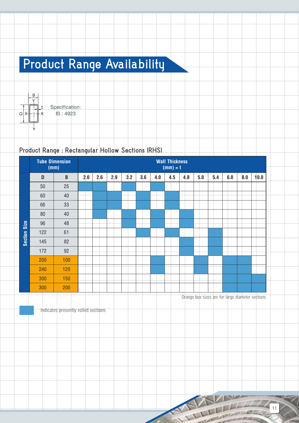# **Product Range Availability**



Specification: IS: 4923

### **Product Range : Rectangular Hollow Sections (RHS)**

|                     |     | <b>Tube Dimension</b><br>(mm) |     |     |     |     |     |     | <b>Wall Thickness</b><br>$(mm) = t$ |     |     |     |     |     |      |
|---------------------|-----|-------------------------------|-----|-----|-----|-----|-----|-----|-------------------------------------|-----|-----|-----|-----|-----|------|
|                     | D   | $\, {\bf B}$                  | 2.0 | 2.6 | 2.9 | 3.2 | 3.6 | 4.0 | 4.5                                 | 4.8 | 5.0 | 5.4 | 6.0 | 8.0 | 10.0 |
|                     | 50  | 25                            |     |     |     |     |     |     |                                     |     |     |     |     |     |      |
|                     | 60  | 40                            |     |     |     |     |     |     |                                     |     |     |     |     |     |      |
|                     | 66  | 33                            |     |     |     |     |     |     |                                     |     |     |     |     |     |      |
|                     | 80  | 40                            |     |     |     |     |     |     |                                     |     |     |     |     |     |      |
|                     | 96  | 48                            |     |     |     |     |     |     |                                     |     |     |     |     |     |      |
| <b>Section Size</b> | 122 | 61                            |     |     |     |     |     |     |                                     |     |     |     |     |     |      |
|                     | 145 | 82                            |     |     |     |     |     |     |                                     |     |     |     |     |     |      |
|                     | 172 | 92                            |     |     |     |     |     |     |                                     |     |     |     |     |     |      |
|                     | 200 | 100                           |     |     |     |     |     |     |                                     |     |     |     |     |     |      |
|                     | 240 | 120                           |     |     |     |     |     |     |                                     |     |     |     |     |     |      |
|                     | 300 | 150                           |     |     |     |     |     |     |                                     |     |     |     |     |     |      |
|                     | 300 | 200                           |     |     |     |     |     |     |                                     |     |     |     |     |     |      |

Orange box sizes are for large diameter sections

Indicates presently rolled sections

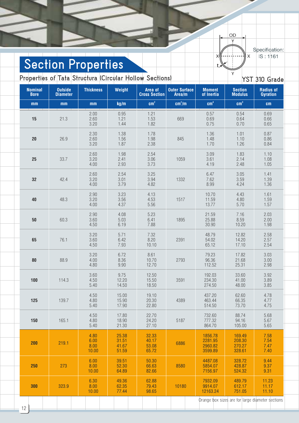OD  $\overline{Y}$ Specification:  $\overline{\mathsf{x}}$ IS: 1161  $\mathbf{\hat{x}}$ Y **YST 310 Grade Weight Thickness Radius of Outside Area of Outer Surface Moment Section Gyration Diameter Cross Section Area/m of Inertia Modulus 2 2 4 3 mm mm kg/m cm cm /m cm cm cm** 2.00 0.95 1.21 0.57 0.54 0.69 3.20 1.44 1.82 0.75 0.70 0.65 2.30 1.38 1.78 1.36 1.01 0.87 3.20 1.87 2.38 1.70 1.26 0.84 2.60 1.98 2.54 3.09 1.83 1.10 4.00 2.93 3.73 4.19 4.19 2.48 1.05 2.60 2.54 3.25 6.47 3.05 1.41 4.00 3.79 4.82 8.99 4.24 1.36 2.90 3.23 4.13 10.70 4.43 1.61 4.00 4.37 1.556 1 1.377 5.70 1.57 2.90 4.08 5.23 21.59 7.16 2.03 4.50 6.19 7.88 30.90 10.20 1.98 3.20 5.71 7.32 48.79 12.82 2.58 4.50 7.93 10.10 65.12 17.10 2.54  $3.20$  6.72 |  $8.61$  | 79.23 17.82 3.03

**Section Properties**

**Nominal**

**Properties of Tata Structura (Circular Hollow Sections)**

| <b>Bore</b> | <b>Diameter</b> |                               |                                  | <b>Cross Section</b>             | Area/m             | of Inertia                               | <b>Modulus</b>                       | <b>Gyration</b>              |
|-------------|-----------------|-------------------------------|----------------------------------|----------------------------------|--------------------|------------------------------------------|--------------------------------------|------------------------------|
| mm          | mm              | mm                            | kg/m                             | cm <sup>2</sup>                  | cm <sup>2</sup> /m | cm <sup>4</sup>                          | cm <sup>3</sup>                      | cm                           |
| 15          | 21.3            | 2.00<br>2.60<br>3.20          | 0.95<br>1.21<br>1.44             | 1.21<br>1.53<br>1.82             | 669                | 0.57<br>0.69<br>0.75                     | 0.54<br>0.64<br>0.70                 | 0.69<br>0.66<br>0.65         |
| 20          | 26.9            | 2.30<br>2.60<br>3.20          | 1.38<br>1.56<br>1.87             | 1.78<br>1.98<br>2.38             | 845                | 1.36<br>1.48<br>1.70                     | 1.01<br>1.10<br>1.26                 | 0.87<br>0.86<br>0.84         |
| 25          | 33.7            | 2.60<br>3.20<br>4.00          | 1.98<br>2.41<br>2.93             | 2.54<br>3.06<br>3.73             | 1059               | 3.09<br>3.61<br>4.19                     | 1.83<br>2.14<br>2.48                 | 1.10<br>1.08<br>1.05         |
| 32          | 42.4            | 2.60<br>3.20<br>4.00          | 2.54<br>3.01<br>3.79             | 3.25<br>3.94<br>4.82             | 1332               | 6.47<br>7.62<br>8.99                     | 3.05<br>3.59<br>4.24                 | 1.41<br>1.39<br>1.36         |
| 40          | 48.3            | 2.90<br>3.20<br>4.00          | 3.23<br>3.56<br>4.37             | 4.13<br>4.53<br>5.56             | 1517               | 10.70<br>11.59<br>13.77                  | 4.43<br>4.80<br>5.70                 | 1.61<br>1.59<br>1.57         |
| 50          | 60.3            | 2.90<br>3.60<br>4.50          | 4.08<br>5.03<br>6.19             | 5.23<br>6.41<br>7.88             | 1895               | 21.59<br>25.88<br>30.90                  | 7.16<br>8.59<br>10.20                | 2.03<br>2.00<br>1.98         |
| 65          | 76.1            | 3.20<br>3.60<br>4.50          | 5.71<br>6.42<br>7.93             | 7.32<br>8.20<br>10.10            | 2391               | 48.79<br>54.02<br>65.12                  | 12.82<br>14.20<br>17.10              | 2.58<br>2.57<br>2.54         |
| 80          | 88.9            | 3.20<br>4.00<br>4.80          | 6.72<br>8.36<br>9.90             | 8.61<br>10.70<br>12.70           | 2793               | 79.23<br>96.36<br>112.52                 | 17.82<br>21.68<br>25.31              | 3.03<br>3.00<br>2.98         |
| 100         | 114.3           | 3.60<br>4.50<br>5.40          | 9.75<br>12.20<br>14.50           | 12.50<br>15.50<br>18.50          | 3591               | 192.03<br>234.30<br>274.50               | 33.60<br>41.00<br>48.00              | 3.92<br>3.89<br>3.85         |
| 125         | 139.7           | 4.50<br>4.80<br>5.40          | 15.00<br>15.90<br>17.90          | 19.10<br>20.30<br>22.80          | 4389               | 437.20<br>463.44<br>514.50               | 62.60<br>66.35<br>73.70              | 4.78<br>4.77<br>4.75         |
| 150         | 165.1           | 4.50<br>4.80<br>5.40          | 17.80<br>18.90<br>21.30          | 22.70<br>24.20<br>27.10          | 5187               | 732.60<br>777.32<br>864.70               | 88.74<br>94.16<br>105.00             | 5.68<br>5.67<br>5.65         |
| 200         | 219.1           | 4.80<br>6.00<br>8.00<br>10.00 | 25.38<br>31.51<br>41.67<br>51.59 | 32.33<br>40.17<br>53.08<br>65.72 | 6886               | 1856.78<br>2281.95<br>2960.82<br>3599.89 | 169.49<br>208.30<br>270.27<br>328.61 | 7.58<br>7.54<br>7.47<br>7.40 |
| 250         | 273             | 6.00<br>8.00<br>10.00         | 39.51<br>52.30<br>64.89          | 50.30<br>66.63<br>82.66          | 8580               | 4487.08<br>5854.07<br>7156.97            | 328.72<br>428.87<br>524.32           | 9.44<br>9.37<br>9.31         |
| 300         | 323.9           | 6.30<br>8.00<br>10.00         | 49.36<br>62.35<br>77.44          | 62.88<br>79.43<br>98.65          | 10180              | 7932.09<br>9914.07<br>12163.24           | 489.79<br>612.17<br>751.05           | 11.23<br>11.17<br>11.10      |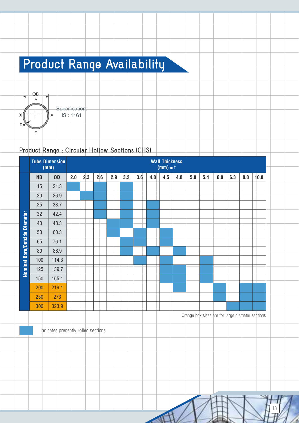# **Product Range Availability**



### **Product Range : Circular Hollow Sections (CHS)**

|                               |           | <b>Tube Dimension</b><br>(mm) |     |     |     |     |     |     |     | <b>Wall Thickness</b><br>$(mm) = t$ |     |     |     |     |     |     |      |
|-------------------------------|-----------|-------------------------------|-----|-----|-----|-----|-----|-----|-----|-------------------------------------|-----|-----|-----|-----|-----|-----|------|
|                               | <b>NB</b> | <b>OD</b>                     | 2.0 | 2.3 | 2.6 | 2.9 | 3.2 | 3.6 | 4.0 | 4.5                                 | 4.8 | 5.0 | 5.4 | 6.0 | 6.3 | 8.0 | 10.0 |
|                               | 15        | 21.3                          |     |     |     |     |     |     |     |                                     |     |     |     |     |     |     |      |
|                               | 20        | 26.9                          |     |     |     |     |     |     |     |                                     |     |     |     |     |     |     |      |
|                               | 25        | 33.7                          |     |     |     |     |     |     |     |                                     |     |     |     |     |     |     |      |
|                               | 32        | 42.4                          |     |     |     |     |     |     |     |                                     |     |     |     |     |     |     |      |
|                               | 40        | 48.3                          |     |     |     |     |     |     |     |                                     |     |     |     |     |     |     |      |
| Nominal Bore/Outside Diameter | 50        | 60.3                          |     |     |     |     |     |     |     |                                     |     |     |     |     |     |     |      |
|                               | 65        | 76.1                          |     |     |     |     |     |     |     |                                     |     |     |     |     |     |     |      |
|                               | 80        | 88.9                          |     |     |     |     |     |     |     |                                     |     |     |     |     |     |     |      |
|                               | 100       | 114.3                         |     |     |     |     |     |     |     |                                     |     |     |     |     |     |     |      |
|                               | 125       | 139.7                         |     |     |     |     |     |     |     |                                     |     |     |     |     |     |     |      |
|                               | 150       | 165.1                         |     |     |     |     |     |     |     |                                     |     |     |     |     |     |     |      |
|                               | 200       | 219.1                         |     |     |     |     |     |     |     |                                     |     |     |     |     |     |     |      |
|                               | 250       | 273                           |     |     |     |     |     |     |     |                                     |     |     |     |     |     |     |      |
|                               | 300       | 323.9                         |     |     |     |     |     |     |     |                                     |     |     |     |     |     |     |      |

Orange box sizes are for large diameter sections

13

Indicates presently rolled sections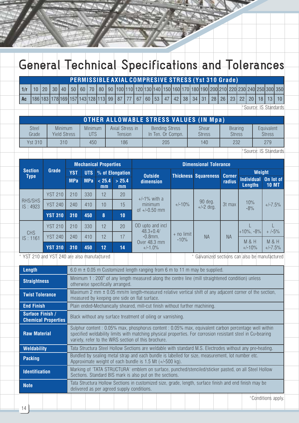# **General Technical Specifications and Tolerances**

## **PERMISSIBLE AXIAL COMPRESIVE STRESS (Yst 310 Grade)**

|                                                                                                                                   |  |  |  |  |  |  |  |  |  |  |  |  |  | 10   20   30   40   50   60   70   80   90  100 110 120 130 140 150 160 170 180 190 200 210 220 230 240 250 300 350 |
|-----------------------------------------------------------------------------------------------------------------------------------|--|--|--|--|--|--|--|--|--|--|--|--|--|---------------------------------------------------------------------------------------------------------------------|
| Ac  186 183 178 169 157 143 128 113  99   87   77   67   60   53   47   42   38   34   31   28   26   23   22   20   18   13   10 |  |  |  |  |  |  |  |  |  |  |  |  |  |                                                                                                                     |

\*Source: IS Standards

|                       |                                |                       |                                   | <b>OTHER ALLOWABLE STRESS VALUES (IN Mpa)</b> |                        |                          |                             |
|-----------------------|--------------------------------|-----------------------|-----------------------------------|-----------------------------------------------|------------------------|--------------------------|-----------------------------|
| <b>Steel</b><br>Grade | Minimum<br><b>Yield Stress</b> | Minimum<br><b>UTS</b> | Axial Stress in<br><b>Tension</b> | <b>Bending Stress</b><br>In Ten. Or Compn.    | Shear<br><b>Stress</b> | Bearing<br><b>Stress</b> | Equivalent<br><b>Stress</b> |
| <b>Yst 310</b>        | 310                            | 450                   | 186                               | 205                                           | 140                    | 232                      | 279                         |
|                       |                                |                       |                                   |                                               |                        |                          | *Source: IS Standards       |

|                               |                |            |            | <b>Mechanical Properties</b> |                     |                                   |                       | <b>Dimensional Tolerance</b>       |           |                                     |                               |
|-------------------------------|----------------|------------|------------|------------------------------|---------------------|-----------------------------------|-----------------------|------------------------------------|-----------|-------------------------------------|-------------------------------|
| <b>Section</b><br><b>Type</b> | Grade          | <b>YST</b> |            |                              | UTS % of Elongation | <b>Outside</b>                    |                       | <b>Thickness Squareness Corner</b> |           | Weight                              |                               |
|                               |                | <b>MPa</b> | <b>MPa</b> | < 25.4<br>mm                 | > 25.4<br>mm        | dimension                         |                       |                                    | radius    | <b>Individual</b><br><b>Lengths</b> | On lot of<br><b>10 MT</b>     |
|                               | <b>YST 210</b> | 210        | 330        | 12                           | 20                  | $+/-1\%$ with a                   |                       |                                    |           |                                     |                               |
| RHS/SHS<br>IS: 4923           | <b>YST 240</b> | 240        | 410        | 10                           | 15                  | minimum                           | $+/-10%$              | 90 deg.<br>$+/-2$ deg.             | 3t max    | 10%<br>$-8%$                        | $+/-7.5%$                     |
|                               | <b>YST 310</b> | 310        | 450        | 8                            | 10                  | of $+/-0.50$ mm                   |                       |                                    |           |                                     |                               |
|                               | <b>YST 210</b> | 210        | 330        | 12                           | 20                  | OD upto and incl<br>$48.3 + 0.4/$ |                       |                                    |           | $+10\%$ , $-8\%$                    | $+/-5%$                       |
| <b>CHS</b><br>IS:1161         | <b>YST 240</b> | 240        | 410        | 12                           | 17                  | $-0.8$ mm.                        | + no limit<br>$-10\%$ | <b>NA</b>                          | <b>NA</b> |                                     |                               |
|                               | <b>YST 310</b> | 310        | 450        | 12 <sup>2</sup>              | 14                  | Over 48.3 mm<br>$+/-1.0%$         |                       |                                    |           | M&H<br>$+/-10%$                     | <b>M &amp; H</b><br>$+/-7.5%$ |

\* YST 210 and YST 240 are also manufactured  $\overrightarrow{a}$  Galvanized sections can also be manufactured

| <b>Length</b>                                  | 6.0 $m \pm 0.05$ m Customized length ranging from 6 m to 11 m may be supplied.                                                                                                                                                                                              |
|------------------------------------------------|-----------------------------------------------------------------------------------------------------------------------------------------------------------------------------------------------------------------------------------------------------------------------------|
| <b>Straightness</b>                            | Minimum 1 : 200 $^{\circ}$ of any length measured along the centre line (mill straightened condition) unless<br>otherwise specifically arranged.                                                                                                                            |
| <b>Twist Tolerance</b>                         | Maximum 2 mm $\pm$ 0.05 mm/m length-measured relative vertical shift of any adjacent corner of the section,<br>measured by keeping one side on flat surface.                                                                                                                |
| <b>End Finish</b>                              | Plain ended-Mechanically sheared, mill-cut finish without further machining.                                                                                                                                                                                                |
| Surface Finish /<br><b>Chemical Properties</b> | Black without any surface treatment of oiling or varnishing.                                                                                                                                                                                                                |
| <b>Raw Material</b>                            | Sulphur content : 0.05% max, phosphorus content : 0.05% max, equivalent carbon percentage well within<br>specified weldability limits with matching physical properties. For corrosion resistant steel in Cu-bearing<br>variety, refer to the WRS section of this brochure. |
| <b>Weldability</b>                             | Tata Structura Steel Hollow Sections are weldable with standard M.S. Electrodes without any pre-heating.                                                                                                                                                                    |
| <b>Packing</b>                                 | Bundled by sealing metal strap and each bundle is labelled for size, measurement, lot number etc.<br>Approximate weight of each bundle is $1.5$ Mt $(+/-500$ kg).                                                                                                           |
| <b>Identification</b>                          | Marking of 'TATA STRUCTURA' emblem on surface, punched/stenciled/sticker pasted, on all Steel Hollow<br>Sections. Standard BIS mark is also put on the sections.                                                                                                            |
| <b>Note</b>                                    | Tata Structura Hollow Sections in customized size, grade, length, surface finish and end finish may be<br>delivered as per agreed supply conditions.                                                                                                                        |
|                                                | $*$ Conditione apply                                                                                                                                                                                                                                                        |

onditions apply.'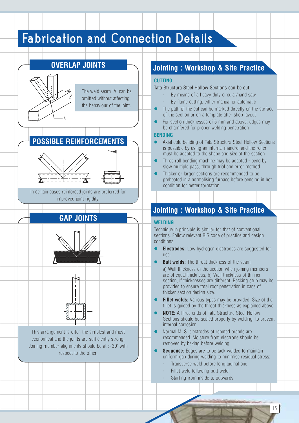## **Fabrication and Connection Details**



#### **Jointing : Workshop & Site Practice**

#### **CUTTING**

- Tata Structura Steel Hollow Sections can be cut:
	- By means of a heavy duty circular/hand saw By flame cutting: either manual or automatic
- $\bullet$ The path of the cut can be marked directly on the surface
- of the section or on a template after shop layout
- $\bullet$ For section thicknesses of 5 mm and above, edges may be chamfered for proper welding penetration

#### **BENDING**

- $\bullet$ Axial cold bending of Tata Structura Steel Hollow Sections is possible by using an internal mandrel and the roller must be adapted to the shape and size of the section
- $\bullet$ Three roll bending machine may be adapted - bend by slow multiple pass, through trial and error method
- $\bullet$ Thicker or larger sections are recommended to be preheated in a normalising furnace before bending in hot condition for better formation

### **Jointing : Workshop & Site Practice**

#### **WELDING**

Technique in principle is similar for that of conventional sections. Follow relevant BIS code of practice and design conditions.

- $\bullet$ **Electrodes:** Low hydrogen electrodes are suggested for use.
- $\bullet$ **Butt welds:** The throat thickness of the seam: a) Wall thickness of the section when joining members are of equal thickness, b) Wall thickness of thinner section, If thicknesses are different. Backing strip may be provided to ensure total root penetration in case of thicker section design size.
- $\bullet$ **Fillet welds:** Various types may be provided. Size of the fillet is guided by the throat thickness as explained above.
- $\bullet$ **NOTE:** All free ends of Tata Structure Steel Hollow Sections should be sealed properly by welding, to prevent internal corrosion.
- $\bullet$ Normal M. S. electrodes of reputed brands are recommended. Moisture from electrode should be removed by baking before welding.
- $\bullet$ **Sequence:** Edges are to be tack welded to maintain uniform gap during welding to minimise residual stress:
	- Transverse weld before longitudinal one
	- Fillet weld following butt weld
	- Starting from inside to outwards.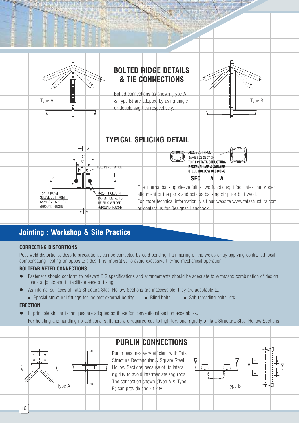

## **Jointing : Workshop & Site Practice**

#### **CORRECTING DISTORTIONS**

Post weld distortions, despite precautions, can be corrected by cold bending, hammering of the welds or by applying controlled local compensating heating on opposite sides. It is imperative to avoid excessive thermo-mechanical operation.

#### **BOLTED/RIVETED CONNECTIONS**

- Fasteners should conform to relevant BIS specifications and arrangements should be adequate to withstand combination of design loads at joints and to facilitate ease of fixing,
- As internal surfaces of Tata Structura Steel Hollow Sections are inaccessible, they are adaptable to:
- Special structural fittings for indirect external bolting Blind bolts Self threading bolts, etc.

#### **ERECTION**

In principle similar techniques are adopted as those for conventional section assemblies. For hoisting and handling no additional stiffeners are required due to high torsional rigidity of Tata Structura Steel Hollow Sections.

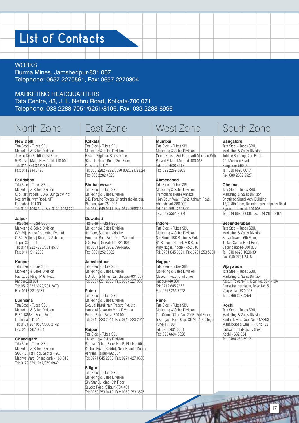## **List of Contacts**

#### **WORKS**

Burma Mines, Jamshedpur-831 007 Telephone: 0657 2270561, Fax: 0657 2270304

#### MARKETING HEADQUARTERS

Tata Centre, 43, J. L. Nehru Road, Kolkata-700 071 Telephone: 033 2288-7051/9251/8106, Fax: 033 2288-6996

| <b>Bangalore</b><br><b>New Delhi</b><br>Kolkata<br>Mumbai<br>Tata Steel - Tubes SBU,<br>Tata Steel - Tubes SBU.<br>Tata Steel - Tubes SBU.<br>Tata Steel - Tubes SBU,<br>Marketing & Sales Division<br>Marketing & Sales Division<br>Marketing & Sales Division<br>Marketing & Sales Division<br>Eastern Regional Sales Office<br>Jeevan Tara Building, 1st Floor,<br>Orient House, 3rd Floor, Adi Marzban Path,<br>Jubilee Building, 2nd Floor,<br>5, Sansad Marg, New Delhi-110 001<br>52, J. L. Nehru Road, 2nd Floor,<br>Ballard Estate, Mumbai-400 038<br>45, Museum Road,<br>Tel: 0112374 8294/8169<br>Kolkata-700 071<br>Tel: 022 6638 4512<br>Bangalore-560 025<br>Fax: 0112334 3196<br>Tel: 033 2282 4299/6550 8020/21/23/24<br>Fax: 022 2269 5963<br>Tel: 080 6695 0017<br>Fax: 033 2282 4325<br>Fax: 080 2532 5527<br>Ahmedabad<br>Faridabad<br>Tata Steel - Tubes SBU.<br>Tata Steel - Tubes SBU,<br>Chennai<br><b>Bhubaneswar</b><br>Marketing & Sales Division<br>Marketing & Sales Division<br>Tata Steel - Tubes SBU,<br>Tata Steel - Tubes SBU,<br>Premchand House Annexe<br>C/o-Fast Traders, 5D-6, Bungalow Plot<br>Marketing & Sales Division<br>Marketing & Sales Division<br>Neelam Railway Road, NIT<br>2-B, Fortune Towers, Chandrashekharpur,<br>High Court Way, 172/2, Ashram Road,<br>Chettinad Sigapi Achi Building<br>18/3, 8th Floor, Rukmini Lakshmipathy Road<br>Bhubaneswar-751 023<br>Ahmedabad-380 009<br>Faridabad-121 001<br>Tel: 0129 4098 314, Fax: 0129 4098 221<br>Tel: 0674 645 0611, Fax: 0674 2580968<br>Tel: 079 5561 2608/09<br>Egmore, Chennai-600 008<br>Fax: 079 5561 2604<br>Tel: 044 669 60008, Fax: 044 282 69101<br>Jaipur<br>Guwahati<br>Tata Steel - Tubes SBU,<br>Tata Steel - Tubes SBU.<br>Secunderabad<br>Indore<br>Marketing & Sales Division<br>Marketing & Sales Division<br>Tata Steel - Tubes SBU,<br>Tata Steel - Tubes SBU.<br>C/o. Vijayshree Properties Pvt. Ltd.<br>4th floor, Subham Velocity,<br>Marketing & Sales Division<br>Marketing & Sales Division<br>C-84, Prithviraj Road, 'C' Scheme,<br>Honuram Boro Path, Opp. Wallford<br>3rd Floor, NRK Business Park,<br>Surya Towers, 6th Floor,<br>G.S. Road, Guwahati - 781 005<br>Jaipur-302 001<br>B1 Scheme No. 54, A B Road<br>104/5, Sardar Patel Road,<br>Tel: 0141 222 4725/651 8573<br>Tel: 0361 234 3962/3964/3965<br>Vijay Nagar, Indore - 452 010<br>Secunderabad-500 003<br>Fax: 0361 252 6582<br>Fax: 0141 5112906<br>Tel: 0731 645 0691, Fax: 0731 253 5951<br>Tel: 040 6626 1020/30<br>Fax: 040 2781 2418<br>Jamshedpur<br>Kanpur<br>Nagpur<br>Tata Steel - Tubes SBU,<br>Tata Steel - Tubes SBU,<br>Tata Steel - Tubes SBU,<br>Vijaywada<br>Marketing & Sales Division<br>Marketing & Sales Division<br>Marketing & Sales Division<br>Tata Steel - Tubes SBU,<br>P.O. Burma Mines, Jamshedpur-831 007<br>Museum Road, Civil Lines<br>Marketing & Sales Division<br>Navroz Building, M.G. Road,<br>Kanpur-208 001<br>Tel: 0657 651 2063, Fax: 0657 227 938<br>Nagpur-440 001<br>Kasturi Towers-F1, Door No. 59-1-19A<br>Tel: 0512 235 3979/231 2870<br>Tel: 0712 645 7677<br>Ramachandra Nagar, Road No. 5,<br>Fax: 0512 231 6631<br>Fax: 0712 253 7078<br>Vijaywada - 520 008<br>Patna<br>Tata Steel - Tubes SBU,<br>Tel: 0866 308 4254<br>Marketing & Sales Division<br>Ludhiana<br>Pune<br>Tata Steel - Tubes SBU,<br>C/o. Jai Basukinath Traders Pvt. Ltd.<br>Tata Steel - Tubes SBU,<br>Kochi<br>Marketing & Sales Division<br>House of Advocate Mr. K.P. Verma<br>Marketing & Sales Division<br>Tata Steel - Tubes SBU.<br>B-30,1858/1, Focal Point,<br>Boring Road, Patna-800 001<br>The Orion, Office No. 202B, 2nd Floor,<br>Marketing & Sales Division<br>Tel: 0612 223 2044, Fax: 0612 223 2044<br>5 Korigaon Park, Opp. St. Mira's College,<br>Santha Nivas, Door No. 41/3393<br>Ludhiana-141 010<br>Tel: 0161 267 0504/500 2742<br>Pune-411 001<br>Manaikkapadi Lane, PRA No. 52<br>Padivattom Edappally (Post)<br>Fax: 0161 267 0504<br>Raipur<br>Tel: 020 6401 0604<br>Tata Steel - Tubes SBU,<br>Fax: 020 6604 8828<br>Kochi - 682 024<br>Marketing & Sales Division<br>Tel: 0484 280 5912<br>Chandigarh<br>Tata Steel - Tubes SBU,<br>Rajdhani Vihar, Block No. B, Flat No. 501<br>Marketing & Sales Division<br>Kachna Road (Saddu), Near Bramha Kumari<br>SCO-16, 1st Floor, Sector - 26,<br>Ashram, Raipur-492 007<br>Madhya Marg, Chandigarh - 160 019<br>Tel: 0771 645 2983, Fax: 0771 427 0588<br>Tel: 0172 279 1047/279 0932<br>Siliguri<br>Tata Steel - Tubes SBU,<br>Marketing & Sales Division<br>Sky Star Building, 6th Floor<br>Sevoke Road, Siliguri-734 401<br>Tel: 0353 253 0419, Fax: 0353 253 3527 | North Zone | East Zone | West Zone | South Zone |
|------------------------------------------------------------------------------------------------------------------------------------------------------------------------------------------------------------------------------------------------------------------------------------------------------------------------------------------------------------------------------------------------------------------------------------------------------------------------------------------------------------------------------------------------------------------------------------------------------------------------------------------------------------------------------------------------------------------------------------------------------------------------------------------------------------------------------------------------------------------------------------------------------------------------------------------------------------------------------------------------------------------------------------------------------------------------------------------------------------------------------------------------------------------------------------------------------------------------------------------------------------------------------------------------------------------------------------------------------------------------------------------------------------------------------------------------------------------------------------------------------------------------------------------------------------------------------------------------------------------------------------------------------------------------------------------------------------------------------------------------------------------------------------------------------------------------------------------------------------------------------------------------------------------------------------------------------------------------------------------------------------------------------------------------------------------------------------------------------------------------------------------------------------------------------------------------------------------------------------------------------------------------------------------------------------------------------------------------------------------------------------------------------------------------------------------------------------------------------------------------------------------------------------------------------------------------------------------------------------------------------------------------------------------------------------------------------------------------------------------------------------------------------------------------------------------------------------------------------------------------------------------------------------------------------------------------------------------------------------------------------------------------------------------------------------------------------------------------------------------------------------------------------------------------------------------------------------------------------------------------------------------------------------------------------------------------------------------------------------------------------------------------------------------------------------------------------------------------------------------------------------------------------------------------------------------------------------------------------------------------------------------------------------------------------------------------------------------------------------------------------------------------------------------------------------------------------------------------------------------------------------------------------------------------------------------------------------------------------------------------------------------------------------------------------------------------------------------------------------------------------------------------------------------------------------------------------------------------------------------------------------------------------------------------------------------------------------------------------------------------------------------------------------------------------------------------------------------------------------------------------------------------------------------------------------------------------------------------------------------------------------------------------------------------------|------------|-----------|-----------|------------|
|                                                                                                                                                                                                                                                                                                                                                                                                                                                                                                                                                                                                                                                                                                                                                                                                                                                                                                                                                                                                                                                                                                                                                                                                                                                                                                                                                                                                                                                                                                                                                                                                                                                                                                                                                                                                                                                                                                                                                                                                                                                                                                                                                                                                                                                                                                                                                                                                                                                                                                                                                                                                                                                                                                                                                                                                                                                                                                                                                                                                                                                                                                                                                                                                                                                                                                                                                                                                                                                                                                                                                                                                                                                                                                                                                                                                                                                                                                                                                                                                                                                                                                                                                                                                                                                                                                                                                                                                                                                                                                                                                                                                                                                                              |            |           |           |            |
|                                                                                                                                                                                                                                                                                                                                                                                                                                                                                                                                                                                                                                                                                                                                                                                                                                                                                                                                                                                                                                                                                                                                                                                                                                                                                                                                                                                                                                                                                                                                                                                                                                                                                                                                                                                                                                                                                                                                                                                                                                                                                                                                                                                                                                                                                                                                                                                                                                                                                                                                                                                                                                                                                                                                                                                                                                                                                                                                                                                                                                                                                                                                                                                                                                                                                                                                                                                                                                                                                                                                                                                                                                                                                                                                                                                                                                                                                                                                                                                                                                                                                                                                                                                                                                                                                                                                                                                                                                                                                                                                                                                                                                                                              |            |           |           |            |
|                                                                                                                                                                                                                                                                                                                                                                                                                                                                                                                                                                                                                                                                                                                                                                                                                                                                                                                                                                                                                                                                                                                                                                                                                                                                                                                                                                                                                                                                                                                                                                                                                                                                                                                                                                                                                                                                                                                                                                                                                                                                                                                                                                                                                                                                                                                                                                                                                                                                                                                                                                                                                                                                                                                                                                                                                                                                                                                                                                                                                                                                                                                                                                                                                                                                                                                                                                                                                                                                                                                                                                                                                                                                                                                                                                                                                                                                                                                                                                                                                                                                                                                                                                                                                                                                                                                                                                                                                                                                                                                                                                                                                                                                              |            |           |           |            |
|                                                                                                                                                                                                                                                                                                                                                                                                                                                                                                                                                                                                                                                                                                                                                                                                                                                                                                                                                                                                                                                                                                                                                                                                                                                                                                                                                                                                                                                                                                                                                                                                                                                                                                                                                                                                                                                                                                                                                                                                                                                                                                                                                                                                                                                                                                                                                                                                                                                                                                                                                                                                                                                                                                                                                                                                                                                                                                                                                                                                                                                                                                                                                                                                                                                                                                                                                                                                                                                                                                                                                                                                                                                                                                                                                                                                                                                                                                                                                                                                                                                                                                                                                                                                                                                                                                                                                                                                                                                                                                                                                                                                                                                                              |            |           |           |            |
|                                                                                                                                                                                                                                                                                                                                                                                                                                                                                                                                                                                                                                                                                                                                                                                                                                                                                                                                                                                                                                                                                                                                                                                                                                                                                                                                                                                                                                                                                                                                                                                                                                                                                                                                                                                                                                                                                                                                                                                                                                                                                                                                                                                                                                                                                                                                                                                                                                                                                                                                                                                                                                                                                                                                                                                                                                                                                                                                                                                                                                                                                                                                                                                                                                                                                                                                                                                                                                                                                                                                                                                                                                                                                                                                                                                                                                                                                                                                                                                                                                                                                                                                                                                                                                                                                                                                                                                                                                                                                                                                                                                                                                                                              |            |           |           |            |
|                                                                                                                                                                                                                                                                                                                                                                                                                                                                                                                                                                                                                                                                                                                                                                                                                                                                                                                                                                                                                                                                                                                                                                                                                                                                                                                                                                                                                                                                                                                                                                                                                                                                                                                                                                                                                                                                                                                                                                                                                                                                                                                                                                                                                                                                                                                                                                                                                                                                                                                                                                                                                                                                                                                                                                                                                                                                                                                                                                                                                                                                                                                                                                                                                                                                                                                                                                                                                                                                                                                                                                                                                                                                                                                                                                                                                                                                                                                                                                                                                                                                                                                                                                                                                                                                                                                                                                                                                                                                                                                                                                                                                                                                              |            |           |           |            |
|                                                                                                                                                                                                                                                                                                                                                                                                                                                                                                                                                                                                                                                                                                                                                                                                                                                                                                                                                                                                                                                                                                                                                                                                                                                                                                                                                                                                                                                                                                                                                                                                                                                                                                                                                                                                                                                                                                                                                                                                                                                                                                                                                                                                                                                                                                                                                                                                                                                                                                                                                                                                                                                                                                                                                                                                                                                                                                                                                                                                                                                                                                                                                                                                                                                                                                                                                                                                                                                                                                                                                                                                                                                                                                                                                                                                                                                                                                                                                                                                                                                                                                                                                                                                                                                                                                                                                                                                                                                                                                                                                                                                                                                                              |            |           |           |            |
|                                                                                                                                                                                                                                                                                                                                                                                                                                                                                                                                                                                                                                                                                                                                                                                                                                                                                                                                                                                                                                                                                                                                                                                                                                                                                                                                                                                                                                                                                                                                                                                                                                                                                                                                                                                                                                                                                                                                                                                                                                                                                                                                                                                                                                                                                                                                                                                                                                                                                                                                                                                                                                                                                                                                                                                                                                                                                                                                                                                                                                                                                                                                                                                                                                                                                                                                                                                                                                                                                                                                                                                                                                                                                                                                                                                                                                                                                                                                                                                                                                                                                                                                                                                                                                                                                                                                                                                                                                                                                                                                                                                                                                                                              |            |           |           |            |
|                                                                                                                                                                                                                                                                                                                                                                                                                                                                                                                                                                                                                                                                                                                                                                                                                                                                                                                                                                                                                                                                                                                                                                                                                                                                                                                                                                                                                                                                                                                                                                                                                                                                                                                                                                                                                                                                                                                                                                                                                                                                                                                                                                                                                                                                                                                                                                                                                                                                                                                                                                                                                                                                                                                                                                                                                                                                                                                                                                                                                                                                                                                                                                                                                                                                                                                                                                                                                                                                                                                                                                                                                                                                                                                                                                                                                                                                                                                                                                                                                                                                                                                                                                                                                                                                                                                                                                                                                                                                                                                                                                                                                                                                              |            |           |           |            |
|                                                                                                                                                                                                                                                                                                                                                                                                                                                                                                                                                                                                                                                                                                                                                                                                                                                                                                                                                                                                                                                                                                                                                                                                                                                                                                                                                                                                                                                                                                                                                                                                                                                                                                                                                                                                                                                                                                                                                                                                                                                                                                                                                                                                                                                                                                                                                                                                                                                                                                                                                                                                                                                                                                                                                                                                                                                                                                                                                                                                                                                                                                                                                                                                                                                                                                                                                                                                                                                                                                                                                                                                                                                                                                                                                                                                                                                                                                                                                                                                                                                                                                                                                                                                                                                                                                                                                                                                                                                                                                                                                                                                                                                                              |            |           |           |            |
|                                                                                                                                                                                                                                                                                                                                                                                                                                                                                                                                                                                                                                                                                                                                                                                                                                                                                                                                                                                                                                                                                                                                                                                                                                                                                                                                                                                                                                                                                                                                                                                                                                                                                                                                                                                                                                                                                                                                                                                                                                                                                                                                                                                                                                                                                                                                                                                                                                                                                                                                                                                                                                                                                                                                                                                                                                                                                                                                                                                                                                                                                                                                                                                                                                                                                                                                                                                                                                                                                                                                                                                                                                                                                                                                                                                                                                                                                                                                                                                                                                                                                                                                                                                                                                                                                                                                                                                                                                                                                                                                                                                                                                                                              |            |           |           |            |
|                                                                                                                                                                                                                                                                                                                                                                                                                                                                                                                                                                                                                                                                                                                                                                                                                                                                                                                                                                                                                                                                                                                                                                                                                                                                                                                                                                                                                                                                                                                                                                                                                                                                                                                                                                                                                                                                                                                                                                                                                                                                                                                                                                                                                                                                                                                                                                                                                                                                                                                                                                                                                                                                                                                                                                                                                                                                                                                                                                                                                                                                                                                                                                                                                                                                                                                                                                                                                                                                                                                                                                                                                                                                                                                                                                                                                                                                                                                                                                                                                                                                                                                                                                                                                                                                                                                                                                                                                                                                                                                                                                                                                                                                              |            |           |           |            |
|                                                                                                                                                                                                                                                                                                                                                                                                                                                                                                                                                                                                                                                                                                                                                                                                                                                                                                                                                                                                                                                                                                                                                                                                                                                                                                                                                                                                                                                                                                                                                                                                                                                                                                                                                                                                                                                                                                                                                                                                                                                                                                                                                                                                                                                                                                                                                                                                                                                                                                                                                                                                                                                                                                                                                                                                                                                                                                                                                                                                                                                                                                                                                                                                                                                                                                                                                                                                                                                                                                                                                                                                                                                                                                                                                                                                                                                                                                                                                                                                                                                                                                                                                                                                                                                                                                                                                                                                                                                                                                                                                                                                                                                                              |            |           |           |            |
|                                                                                                                                                                                                                                                                                                                                                                                                                                                                                                                                                                                                                                                                                                                                                                                                                                                                                                                                                                                                                                                                                                                                                                                                                                                                                                                                                                                                                                                                                                                                                                                                                                                                                                                                                                                                                                                                                                                                                                                                                                                                                                                                                                                                                                                                                                                                                                                                                                                                                                                                                                                                                                                                                                                                                                                                                                                                                                                                                                                                                                                                                                                                                                                                                                                                                                                                                                                                                                                                                                                                                                                                                                                                                                                                                                                                                                                                                                                                                                                                                                                                                                                                                                                                                                                                                                                                                                                                                                                                                                                                                                                                                                                                              |            |           |           |            |
|                                                                                                                                                                                                                                                                                                                                                                                                                                                                                                                                                                                                                                                                                                                                                                                                                                                                                                                                                                                                                                                                                                                                                                                                                                                                                                                                                                                                                                                                                                                                                                                                                                                                                                                                                                                                                                                                                                                                                                                                                                                                                                                                                                                                                                                                                                                                                                                                                                                                                                                                                                                                                                                                                                                                                                                                                                                                                                                                                                                                                                                                                                                                                                                                                                                                                                                                                                                                                                                                                                                                                                                                                                                                                                                                                                                                                                                                                                                                                                                                                                                                                                                                                                                                                                                                                                                                                                                                                                                                                                                                                                                                                                                                              |            |           |           |            |
|                                                                                                                                                                                                                                                                                                                                                                                                                                                                                                                                                                                                                                                                                                                                                                                                                                                                                                                                                                                                                                                                                                                                                                                                                                                                                                                                                                                                                                                                                                                                                                                                                                                                                                                                                                                                                                                                                                                                                                                                                                                                                                                                                                                                                                                                                                                                                                                                                                                                                                                                                                                                                                                                                                                                                                                                                                                                                                                                                                                                                                                                                                                                                                                                                                                                                                                                                                                                                                                                                                                                                                                                                                                                                                                                                                                                                                                                                                                                                                                                                                                                                                                                                                                                                                                                                                                                                                                                                                                                                                                                                                                                                                                                              |            |           |           |            |
|                                                                                                                                                                                                                                                                                                                                                                                                                                                                                                                                                                                                                                                                                                                                                                                                                                                                                                                                                                                                                                                                                                                                                                                                                                                                                                                                                                                                                                                                                                                                                                                                                                                                                                                                                                                                                                                                                                                                                                                                                                                                                                                                                                                                                                                                                                                                                                                                                                                                                                                                                                                                                                                                                                                                                                                                                                                                                                                                                                                                                                                                                                                                                                                                                                                                                                                                                                                                                                                                                                                                                                                                                                                                                                                                                                                                                                                                                                                                                                                                                                                                                                                                                                                                                                                                                                                                                                                                                                                                                                                                                                                                                                                                              |            |           |           |            |
|                                                                                                                                                                                                                                                                                                                                                                                                                                                                                                                                                                                                                                                                                                                                                                                                                                                                                                                                                                                                                                                                                                                                                                                                                                                                                                                                                                                                                                                                                                                                                                                                                                                                                                                                                                                                                                                                                                                                                                                                                                                                                                                                                                                                                                                                                                                                                                                                                                                                                                                                                                                                                                                                                                                                                                                                                                                                                                                                                                                                                                                                                                                                                                                                                                                                                                                                                                                                                                                                                                                                                                                                                                                                                                                                                                                                                                                                                                                                                                                                                                                                                                                                                                                                                                                                                                                                                                                                                                                                                                                                                                                                                                                                              |            |           |           |            |
|                                                                                                                                                                                                                                                                                                                                                                                                                                                                                                                                                                                                                                                                                                                                                                                                                                                                                                                                                                                                                                                                                                                                                                                                                                                                                                                                                                                                                                                                                                                                                                                                                                                                                                                                                                                                                                                                                                                                                                                                                                                                                                                                                                                                                                                                                                                                                                                                                                                                                                                                                                                                                                                                                                                                                                                                                                                                                                                                                                                                                                                                                                                                                                                                                                                                                                                                                                                                                                                                                                                                                                                                                                                                                                                                                                                                                                                                                                                                                                                                                                                                                                                                                                                                                                                                                                                                                                                                                                                                                                                                                                                                                                                                              |            |           |           |            |
|                                                                                                                                                                                                                                                                                                                                                                                                                                                                                                                                                                                                                                                                                                                                                                                                                                                                                                                                                                                                                                                                                                                                                                                                                                                                                                                                                                                                                                                                                                                                                                                                                                                                                                                                                                                                                                                                                                                                                                                                                                                                                                                                                                                                                                                                                                                                                                                                                                                                                                                                                                                                                                                                                                                                                                                                                                                                                                                                                                                                                                                                                                                                                                                                                                                                                                                                                                                                                                                                                                                                                                                                                                                                                                                                                                                                                                                                                                                                                                                                                                                                                                                                                                                                                                                                                                                                                                                                                                                                                                                                                                                                                                                                              |            |           |           |            |
|                                                                                                                                                                                                                                                                                                                                                                                                                                                                                                                                                                                                                                                                                                                                                                                                                                                                                                                                                                                                                                                                                                                                                                                                                                                                                                                                                                                                                                                                                                                                                                                                                                                                                                                                                                                                                                                                                                                                                                                                                                                                                                                                                                                                                                                                                                                                                                                                                                                                                                                                                                                                                                                                                                                                                                                                                                                                                                                                                                                                                                                                                                                                                                                                                                                                                                                                                                                                                                                                                                                                                                                                                                                                                                                                                                                                                                                                                                                                                                                                                                                                                                                                                                                                                                                                                                                                                                                                                                                                                                                                                                                                                                                                              |            |           |           |            |
|                                                                                                                                                                                                                                                                                                                                                                                                                                                                                                                                                                                                                                                                                                                                                                                                                                                                                                                                                                                                                                                                                                                                                                                                                                                                                                                                                                                                                                                                                                                                                                                                                                                                                                                                                                                                                                                                                                                                                                                                                                                                                                                                                                                                                                                                                                                                                                                                                                                                                                                                                                                                                                                                                                                                                                                                                                                                                                                                                                                                                                                                                                                                                                                                                                                                                                                                                                                                                                                                                                                                                                                                                                                                                                                                                                                                                                                                                                                                                                                                                                                                                                                                                                                                                                                                                                                                                                                                                                                                                                                                                                                                                                                                              |            |           |           |            |
|                                                                                                                                                                                                                                                                                                                                                                                                                                                                                                                                                                                                                                                                                                                                                                                                                                                                                                                                                                                                                                                                                                                                                                                                                                                                                                                                                                                                                                                                                                                                                                                                                                                                                                                                                                                                                                                                                                                                                                                                                                                                                                                                                                                                                                                                                                                                                                                                                                                                                                                                                                                                                                                                                                                                                                                                                                                                                                                                                                                                                                                                                                                                                                                                                                                                                                                                                                                                                                                                                                                                                                                                                                                                                                                                                                                                                                                                                                                                                                                                                                                                                                                                                                                                                                                                                                                                                                                                                                                                                                                                                                                                                                                                              |            |           |           |            |
|                                                                                                                                                                                                                                                                                                                                                                                                                                                                                                                                                                                                                                                                                                                                                                                                                                                                                                                                                                                                                                                                                                                                                                                                                                                                                                                                                                                                                                                                                                                                                                                                                                                                                                                                                                                                                                                                                                                                                                                                                                                                                                                                                                                                                                                                                                                                                                                                                                                                                                                                                                                                                                                                                                                                                                                                                                                                                                                                                                                                                                                                                                                                                                                                                                                                                                                                                                                                                                                                                                                                                                                                                                                                                                                                                                                                                                                                                                                                                                                                                                                                                                                                                                                                                                                                                                                                                                                                                                                                                                                                                                                                                                                                              |            |           |           |            |
|                                                                                                                                                                                                                                                                                                                                                                                                                                                                                                                                                                                                                                                                                                                                                                                                                                                                                                                                                                                                                                                                                                                                                                                                                                                                                                                                                                                                                                                                                                                                                                                                                                                                                                                                                                                                                                                                                                                                                                                                                                                                                                                                                                                                                                                                                                                                                                                                                                                                                                                                                                                                                                                                                                                                                                                                                                                                                                                                                                                                                                                                                                                                                                                                                                                                                                                                                                                                                                                                                                                                                                                                                                                                                                                                                                                                                                                                                                                                                                                                                                                                                                                                                                                                                                                                                                                                                                                                                                                                                                                                                                                                                                                                              |            |           |           |            |
|                                                                                                                                                                                                                                                                                                                                                                                                                                                                                                                                                                                                                                                                                                                                                                                                                                                                                                                                                                                                                                                                                                                                                                                                                                                                                                                                                                                                                                                                                                                                                                                                                                                                                                                                                                                                                                                                                                                                                                                                                                                                                                                                                                                                                                                                                                                                                                                                                                                                                                                                                                                                                                                                                                                                                                                                                                                                                                                                                                                                                                                                                                                                                                                                                                                                                                                                                                                                                                                                                                                                                                                                                                                                                                                                                                                                                                                                                                                                                                                                                                                                                                                                                                                                                                                                                                                                                                                                                                                                                                                                                                                                                                                                              |            |           |           |            |
|                                                                                                                                                                                                                                                                                                                                                                                                                                                                                                                                                                                                                                                                                                                                                                                                                                                                                                                                                                                                                                                                                                                                                                                                                                                                                                                                                                                                                                                                                                                                                                                                                                                                                                                                                                                                                                                                                                                                                                                                                                                                                                                                                                                                                                                                                                                                                                                                                                                                                                                                                                                                                                                                                                                                                                                                                                                                                                                                                                                                                                                                                                                                                                                                                                                                                                                                                                                                                                                                                                                                                                                                                                                                                                                                                                                                                                                                                                                                                                                                                                                                                                                                                                                                                                                                                                                                                                                                                                                                                                                                                                                                                                                                              |            |           |           |            |
|                                                                                                                                                                                                                                                                                                                                                                                                                                                                                                                                                                                                                                                                                                                                                                                                                                                                                                                                                                                                                                                                                                                                                                                                                                                                                                                                                                                                                                                                                                                                                                                                                                                                                                                                                                                                                                                                                                                                                                                                                                                                                                                                                                                                                                                                                                                                                                                                                                                                                                                                                                                                                                                                                                                                                                                                                                                                                                                                                                                                                                                                                                                                                                                                                                                                                                                                                                                                                                                                                                                                                                                                                                                                                                                                                                                                                                                                                                                                                                                                                                                                                                                                                                                                                                                                                                                                                                                                                                                                                                                                                                                                                                                                              |            |           |           |            |
|                                                                                                                                                                                                                                                                                                                                                                                                                                                                                                                                                                                                                                                                                                                                                                                                                                                                                                                                                                                                                                                                                                                                                                                                                                                                                                                                                                                                                                                                                                                                                                                                                                                                                                                                                                                                                                                                                                                                                                                                                                                                                                                                                                                                                                                                                                                                                                                                                                                                                                                                                                                                                                                                                                                                                                                                                                                                                                                                                                                                                                                                                                                                                                                                                                                                                                                                                                                                                                                                                                                                                                                                                                                                                                                                                                                                                                                                                                                                                                                                                                                                                                                                                                                                                                                                                                                                                                                                                                                                                                                                                                                                                                                                              |            |           |           |            |
|                                                                                                                                                                                                                                                                                                                                                                                                                                                                                                                                                                                                                                                                                                                                                                                                                                                                                                                                                                                                                                                                                                                                                                                                                                                                                                                                                                                                                                                                                                                                                                                                                                                                                                                                                                                                                                                                                                                                                                                                                                                                                                                                                                                                                                                                                                                                                                                                                                                                                                                                                                                                                                                                                                                                                                                                                                                                                                                                                                                                                                                                                                                                                                                                                                                                                                                                                                                                                                                                                                                                                                                                                                                                                                                                                                                                                                                                                                                                                                                                                                                                                                                                                                                                                                                                                                                                                                                                                                                                                                                                                                                                                                                                              |            |           |           |            |
|                                                                                                                                                                                                                                                                                                                                                                                                                                                                                                                                                                                                                                                                                                                                                                                                                                                                                                                                                                                                                                                                                                                                                                                                                                                                                                                                                                                                                                                                                                                                                                                                                                                                                                                                                                                                                                                                                                                                                                                                                                                                                                                                                                                                                                                                                                                                                                                                                                                                                                                                                                                                                                                                                                                                                                                                                                                                                                                                                                                                                                                                                                                                                                                                                                                                                                                                                                                                                                                                                                                                                                                                                                                                                                                                                                                                                                                                                                                                                                                                                                                                                                                                                                                                                                                                                                                                                                                                                                                                                                                                                                                                                                                                              |            |           |           |            |
|                                                                                                                                                                                                                                                                                                                                                                                                                                                                                                                                                                                                                                                                                                                                                                                                                                                                                                                                                                                                                                                                                                                                                                                                                                                                                                                                                                                                                                                                                                                                                                                                                                                                                                                                                                                                                                                                                                                                                                                                                                                                                                                                                                                                                                                                                                                                                                                                                                                                                                                                                                                                                                                                                                                                                                                                                                                                                                                                                                                                                                                                                                                                                                                                                                                                                                                                                                                                                                                                                                                                                                                                                                                                                                                                                                                                                                                                                                                                                                                                                                                                                                                                                                                                                                                                                                                                                                                                                                                                                                                                                                                                                                                                              |            |           |           |            |
|                                                                                                                                                                                                                                                                                                                                                                                                                                                                                                                                                                                                                                                                                                                                                                                                                                                                                                                                                                                                                                                                                                                                                                                                                                                                                                                                                                                                                                                                                                                                                                                                                                                                                                                                                                                                                                                                                                                                                                                                                                                                                                                                                                                                                                                                                                                                                                                                                                                                                                                                                                                                                                                                                                                                                                                                                                                                                                                                                                                                                                                                                                                                                                                                                                                                                                                                                                                                                                                                                                                                                                                                                                                                                                                                                                                                                                                                                                                                                                                                                                                                                                                                                                                                                                                                                                                                                                                                                                                                                                                                                                                                                                                                              |            |           |           |            |
|                                                                                                                                                                                                                                                                                                                                                                                                                                                                                                                                                                                                                                                                                                                                                                                                                                                                                                                                                                                                                                                                                                                                                                                                                                                                                                                                                                                                                                                                                                                                                                                                                                                                                                                                                                                                                                                                                                                                                                                                                                                                                                                                                                                                                                                                                                                                                                                                                                                                                                                                                                                                                                                                                                                                                                                                                                                                                                                                                                                                                                                                                                                                                                                                                                                                                                                                                                                                                                                                                                                                                                                                                                                                                                                                                                                                                                                                                                                                                                                                                                                                                                                                                                                                                                                                                                                                                                                                                                                                                                                                                                                                                                                                              |            |           |           |            |
|                                                                                                                                                                                                                                                                                                                                                                                                                                                                                                                                                                                                                                                                                                                                                                                                                                                                                                                                                                                                                                                                                                                                                                                                                                                                                                                                                                                                                                                                                                                                                                                                                                                                                                                                                                                                                                                                                                                                                                                                                                                                                                                                                                                                                                                                                                                                                                                                                                                                                                                                                                                                                                                                                                                                                                                                                                                                                                                                                                                                                                                                                                                                                                                                                                                                                                                                                                                                                                                                                                                                                                                                                                                                                                                                                                                                                                                                                                                                                                                                                                                                                                                                                                                                                                                                                                                                                                                                                                                                                                                                                                                                                                                                              |            |           |           |            |
|                                                                                                                                                                                                                                                                                                                                                                                                                                                                                                                                                                                                                                                                                                                                                                                                                                                                                                                                                                                                                                                                                                                                                                                                                                                                                                                                                                                                                                                                                                                                                                                                                                                                                                                                                                                                                                                                                                                                                                                                                                                                                                                                                                                                                                                                                                                                                                                                                                                                                                                                                                                                                                                                                                                                                                                                                                                                                                                                                                                                                                                                                                                                                                                                                                                                                                                                                                                                                                                                                                                                                                                                                                                                                                                                                                                                                                                                                                                                                                                                                                                                                                                                                                                                                                                                                                                                                                                                                                                                                                                                                                                                                                                                              |            |           |           |            |
|                                                                                                                                                                                                                                                                                                                                                                                                                                                                                                                                                                                                                                                                                                                                                                                                                                                                                                                                                                                                                                                                                                                                                                                                                                                                                                                                                                                                                                                                                                                                                                                                                                                                                                                                                                                                                                                                                                                                                                                                                                                                                                                                                                                                                                                                                                                                                                                                                                                                                                                                                                                                                                                                                                                                                                                                                                                                                                                                                                                                                                                                                                                                                                                                                                                                                                                                                                                                                                                                                                                                                                                                                                                                                                                                                                                                                                                                                                                                                                                                                                                                                                                                                                                                                                                                                                                                                                                                                                                                                                                                                                                                                                                                              |            |           |           |            |
|                                                                                                                                                                                                                                                                                                                                                                                                                                                                                                                                                                                                                                                                                                                                                                                                                                                                                                                                                                                                                                                                                                                                                                                                                                                                                                                                                                                                                                                                                                                                                                                                                                                                                                                                                                                                                                                                                                                                                                                                                                                                                                                                                                                                                                                                                                                                                                                                                                                                                                                                                                                                                                                                                                                                                                                                                                                                                                                                                                                                                                                                                                                                                                                                                                                                                                                                                                                                                                                                                                                                                                                                                                                                                                                                                                                                                                                                                                                                                                                                                                                                                                                                                                                                                                                                                                                                                                                                                                                                                                                                                                                                                                                                              |            |           |           |            |
|                                                                                                                                                                                                                                                                                                                                                                                                                                                                                                                                                                                                                                                                                                                                                                                                                                                                                                                                                                                                                                                                                                                                                                                                                                                                                                                                                                                                                                                                                                                                                                                                                                                                                                                                                                                                                                                                                                                                                                                                                                                                                                                                                                                                                                                                                                                                                                                                                                                                                                                                                                                                                                                                                                                                                                                                                                                                                                                                                                                                                                                                                                                                                                                                                                                                                                                                                                                                                                                                                                                                                                                                                                                                                                                                                                                                                                                                                                                                                                                                                                                                                                                                                                                                                                                                                                                                                                                                                                                                                                                                                                                                                                                                              |            |           |           |            |
|                                                                                                                                                                                                                                                                                                                                                                                                                                                                                                                                                                                                                                                                                                                                                                                                                                                                                                                                                                                                                                                                                                                                                                                                                                                                                                                                                                                                                                                                                                                                                                                                                                                                                                                                                                                                                                                                                                                                                                                                                                                                                                                                                                                                                                                                                                                                                                                                                                                                                                                                                                                                                                                                                                                                                                                                                                                                                                                                                                                                                                                                                                                                                                                                                                                                                                                                                                                                                                                                                                                                                                                                                                                                                                                                                                                                                                                                                                                                                                                                                                                                                                                                                                                                                                                                                                                                                                                                                                                                                                                                                                                                                                                                              |            |           |           |            |
|                                                                                                                                                                                                                                                                                                                                                                                                                                                                                                                                                                                                                                                                                                                                                                                                                                                                                                                                                                                                                                                                                                                                                                                                                                                                                                                                                                                                                                                                                                                                                                                                                                                                                                                                                                                                                                                                                                                                                                                                                                                                                                                                                                                                                                                                                                                                                                                                                                                                                                                                                                                                                                                                                                                                                                                                                                                                                                                                                                                                                                                                                                                                                                                                                                                                                                                                                                                                                                                                                                                                                                                                                                                                                                                                                                                                                                                                                                                                                                                                                                                                                                                                                                                                                                                                                                                                                                                                                                                                                                                                                                                                                                                                              |            |           |           |            |
|                                                                                                                                                                                                                                                                                                                                                                                                                                                                                                                                                                                                                                                                                                                                                                                                                                                                                                                                                                                                                                                                                                                                                                                                                                                                                                                                                                                                                                                                                                                                                                                                                                                                                                                                                                                                                                                                                                                                                                                                                                                                                                                                                                                                                                                                                                                                                                                                                                                                                                                                                                                                                                                                                                                                                                                                                                                                                                                                                                                                                                                                                                                                                                                                                                                                                                                                                                                                                                                                                                                                                                                                                                                                                                                                                                                                                                                                                                                                                                                                                                                                                                                                                                                                                                                                                                                                                                                                                                                                                                                                                                                                                                                                              |            |           |           |            |
|                                                                                                                                                                                                                                                                                                                                                                                                                                                                                                                                                                                                                                                                                                                                                                                                                                                                                                                                                                                                                                                                                                                                                                                                                                                                                                                                                                                                                                                                                                                                                                                                                                                                                                                                                                                                                                                                                                                                                                                                                                                                                                                                                                                                                                                                                                                                                                                                                                                                                                                                                                                                                                                                                                                                                                                                                                                                                                                                                                                                                                                                                                                                                                                                                                                                                                                                                                                                                                                                                                                                                                                                                                                                                                                                                                                                                                                                                                                                                                                                                                                                                                                                                                                                                                                                                                                                                                                                                                                                                                                                                                                                                                                                              |            |           |           |            |
|                                                                                                                                                                                                                                                                                                                                                                                                                                                                                                                                                                                                                                                                                                                                                                                                                                                                                                                                                                                                                                                                                                                                                                                                                                                                                                                                                                                                                                                                                                                                                                                                                                                                                                                                                                                                                                                                                                                                                                                                                                                                                                                                                                                                                                                                                                                                                                                                                                                                                                                                                                                                                                                                                                                                                                                                                                                                                                                                                                                                                                                                                                                                                                                                                                                                                                                                                                                                                                                                                                                                                                                                                                                                                                                                                                                                                                                                                                                                                                                                                                                                                                                                                                                                                                                                                                                                                                                                                                                                                                                                                                                                                                                                              |            |           |           |            |
|                                                                                                                                                                                                                                                                                                                                                                                                                                                                                                                                                                                                                                                                                                                                                                                                                                                                                                                                                                                                                                                                                                                                                                                                                                                                                                                                                                                                                                                                                                                                                                                                                                                                                                                                                                                                                                                                                                                                                                                                                                                                                                                                                                                                                                                                                                                                                                                                                                                                                                                                                                                                                                                                                                                                                                                                                                                                                                                                                                                                                                                                                                                                                                                                                                                                                                                                                                                                                                                                                                                                                                                                                                                                                                                                                                                                                                                                                                                                                                                                                                                                                                                                                                                                                                                                                                                                                                                                                                                                                                                                                                                                                                                                              |            |           |           |            |
|                                                                                                                                                                                                                                                                                                                                                                                                                                                                                                                                                                                                                                                                                                                                                                                                                                                                                                                                                                                                                                                                                                                                                                                                                                                                                                                                                                                                                                                                                                                                                                                                                                                                                                                                                                                                                                                                                                                                                                                                                                                                                                                                                                                                                                                                                                                                                                                                                                                                                                                                                                                                                                                                                                                                                                                                                                                                                                                                                                                                                                                                                                                                                                                                                                                                                                                                                                                                                                                                                                                                                                                                                                                                                                                                                                                                                                                                                                                                                                                                                                                                                                                                                                                                                                                                                                                                                                                                                                                                                                                                                                                                                                                                              |            |           |           |            |
|                                                                                                                                                                                                                                                                                                                                                                                                                                                                                                                                                                                                                                                                                                                                                                                                                                                                                                                                                                                                                                                                                                                                                                                                                                                                                                                                                                                                                                                                                                                                                                                                                                                                                                                                                                                                                                                                                                                                                                                                                                                                                                                                                                                                                                                                                                                                                                                                                                                                                                                                                                                                                                                                                                                                                                                                                                                                                                                                                                                                                                                                                                                                                                                                                                                                                                                                                                                                                                                                                                                                                                                                                                                                                                                                                                                                                                                                                                                                                                                                                                                                                                                                                                                                                                                                                                                                                                                                                                                                                                                                                                                                                                                                              |            |           |           |            |
|                                                                                                                                                                                                                                                                                                                                                                                                                                                                                                                                                                                                                                                                                                                                                                                                                                                                                                                                                                                                                                                                                                                                                                                                                                                                                                                                                                                                                                                                                                                                                                                                                                                                                                                                                                                                                                                                                                                                                                                                                                                                                                                                                                                                                                                                                                                                                                                                                                                                                                                                                                                                                                                                                                                                                                                                                                                                                                                                                                                                                                                                                                                                                                                                                                                                                                                                                                                                                                                                                                                                                                                                                                                                                                                                                                                                                                                                                                                                                                                                                                                                                                                                                                                                                                                                                                                                                                                                                                                                                                                                                                                                                                                                              |            |           |           |            |
|                                                                                                                                                                                                                                                                                                                                                                                                                                                                                                                                                                                                                                                                                                                                                                                                                                                                                                                                                                                                                                                                                                                                                                                                                                                                                                                                                                                                                                                                                                                                                                                                                                                                                                                                                                                                                                                                                                                                                                                                                                                                                                                                                                                                                                                                                                                                                                                                                                                                                                                                                                                                                                                                                                                                                                                                                                                                                                                                                                                                                                                                                                                                                                                                                                                                                                                                                                                                                                                                                                                                                                                                                                                                                                                                                                                                                                                                                                                                                                                                                                                                                                                                                                                                                                                                                                                                                                                                                                                                                                                                                                                                                                                                              |            |           |           |            |
|                                                                                                                                                                                                                                                                                                                                                                                                                                                                                                                                                                                                                                                                                                                                                                                                                                                                                                                                                                                                                                                                                                                                                                                                                                                                                                                                                                                                                                                                                                                                                                                                                                                                                                                                                                                                                                                                                                                                                                                                                                                                                                                                                                                                                                                                                                                                                                                                                                                                                                                                                                                                                                                                                                                                                                                                                                                                                                                                                                                                                                                                                                                                                                                                                                                                                                                                                                                                                                                                                                                                                                                                                                                                                                                                                                                                                                                                                                                                                                                                                                                                                                                                                                                                                                                                                                                                                                                                                                                                                                                                                                                                                                                                              |            |           |           |            |

17